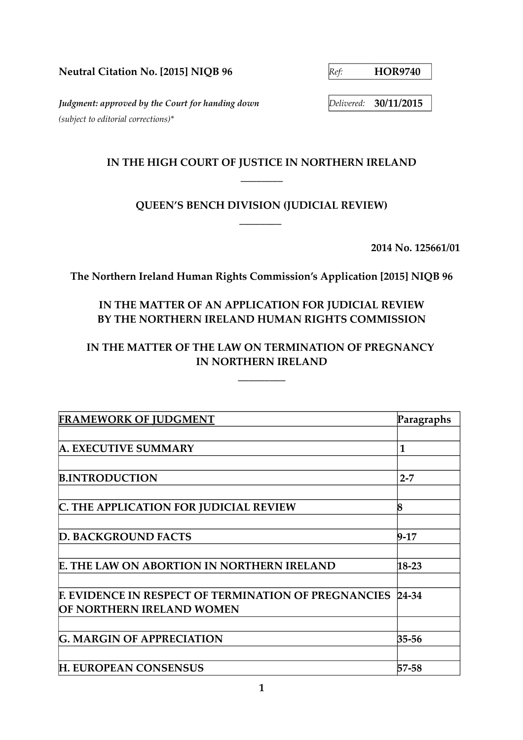**Neutral Citation No. [2015] NIQB 96** *Ref:* **HOR9740** 

*Judgment: approved by the Court for handing down Delivered:* **30/11/2015** *(subject to editorial corrections)\**

## **IN THE HIGH COURT OF JUSTICE IN NORTHERN IRELAND \_\_\_\_\_\_\_\_**

# **QUEEN'S BENCH DIVISION (JUDICIAL REVIEW) \_\_\_\_\_\_\_\_**

**2014 No. 125661/01**

**The Northern Ireland Human Rights Commission's Application [2015] NIQB 96**

# **IN THE MATTER OF AN APPLICATION FOR JUDICIAL REVIEW BY THE NORTHERN IRELAND HUMAN RIGHTS COMMISSION**

# **IN THE MATTER OF THE LAW ON TERMINATION OF PREGNANCY IN NORTHERN IRELAND**

 **\_\_\_\_\_\_\_\_\_** 

| <b>FRAMEWORK OF JUDGMENT</b>                                | Paragraphs |
|-------------------------------------------------------------|------------|
|                                                             |            |
| <b>A. EXECUTIVE SUMMARY</b>                                 | 1          |
|                                                             |            |
| <b>B.INTRODUCTION</b>                                       | $2 - 7$    |
|                                                             |            |
| C. THE APPLICATION FOR JUDICIAL REVIEW                      | 8          |
|                                                             |            |
| <b>D. BACKGROUND FACTS</b>                                  | $9-17$     |
|                                                             |            |
| <b>E. THE LAW ON ABORTION IN NORTHERN IRELAND</b>           | $18 - 23$  |
|                                                             |            |
| <b>F. EVIDENCE IN RESPECT OF TERMINATION OF PREGNANCIES</b> | 24-34      |
| OF NORTHERN IRELAND WOMEN                                   |            |
|                                                             |            |
| <b>G. MARGIN OF APPRECIATION</b>                            | 35-56      |
|                                                             |            |
| <b>H. EUROPEAN CONSENSUS</b>                                | 57-58      |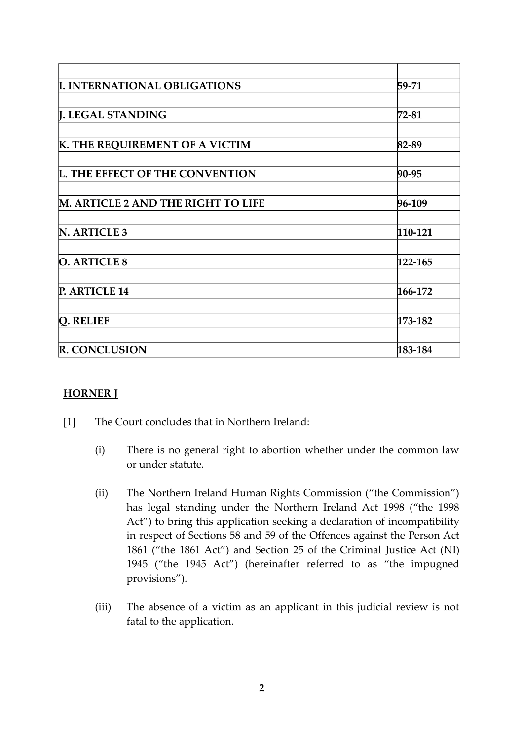| <b>I. INTERNATIONAL OBLIGATIONS</b>       | 59-71   |
|-------------------------------------------|---------|
| <b>J. LEGAL STANDING</b>                  | 72-81   |
| K. THE REQUIREMENT OF A VICTIM            | 82-89   |
| <b>L. THE EFFECT OF THE CONVENTION</b>    | 90-95   |
| <b>M. ARTICLE 2 AND THE RIGHT TO LIFE</b> | 96-109  |
|                                           |         |
| N. ARTICLE 3                              | 110-121 |
| <b>O. ARTICLE 8</b>                       | 122-165 |
| P. ARTICLE 14                             | 166-172 |
| Q. RELIEF                                 | 173-182 |
|                                           |         |
| <b>R. CONCLUSION</b>                      | 183-184 |

## **HORNER J**

- [1] The Court concludes that in Northern Ireland:
	- (i) There is no general right to abortion whether under the common law or under statute.
	- (ii) The Northern Ireland Human Rights Commission ("the Commission") has legal standing under the Northern Ireland Act 1998 ("the 1998 Act") to bring this application seeking a declaration of incompatibility in respect of Sections 58 and 59 of the Offences against the Person Act 1861 ("the 1861 Act") and Section 25 of the Criminal Justice Act (NI) 1945 ("the 1945 Act") (hereinafter referred to as "the impugned provisions").
	- (iii) The absence of a victim as an applicant in this judicial review is not fatal to the application.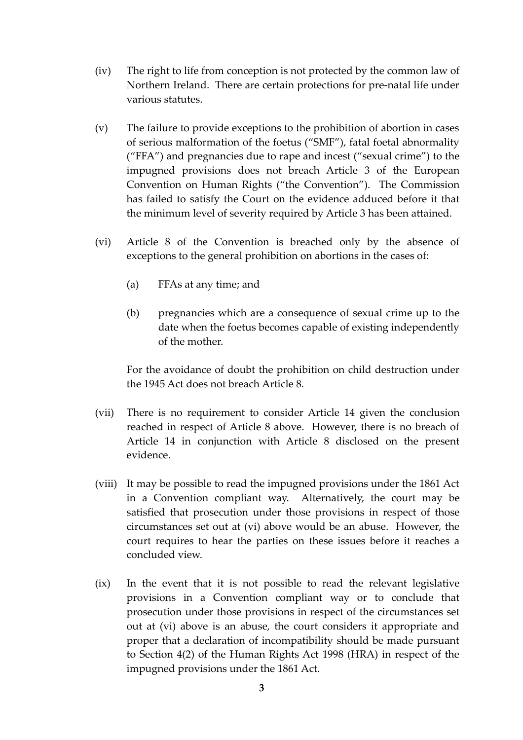- (iv) The right to life from conception is not protected by the common law of Northern Ireland. There are certain protections for pre-natal life under various statutes.
- (v) The failure to provide exceptions to the prohibition of abortion in cases of serious malformation of the foetus ("SMF"), fatal foetal abnormality ("FFA") and pregnancies due to rape and incest ("sexual crime") to the impugned provisions does not breach Article 3 of the European Convention on Human Rights ("the Convention"). The Commission has failed to satisfy the Court on the evidence adduced before it that the minimum level of severity required by Article 3 has been attained.
- (vi) Article 8 of the Convention is breached only by the absence of exceptions to the general prohibition on abortions in the cases of:
	- (a) FFAs at any time; and
	- (b) pregnancies which are a consequence of sexual crime up to the date when the foetus becomes capable of existing independently of the mother.

For the avoidance of doubt the prohibition on child destruction under the 1945 Act does not breach Article 8.

- (vii) There is no requirement to consider Article 14 given the conclusion reached in respect of Article 8 above. However, there is no breach of Article 14 in conjunction with Article 8 disclosed on the present evidence.
- (viii) It may be possible to read the impugned provisions under the 1861 Act in a Convention compliant way. Alternatively, the court may be satisfied that prosecution under those provisions in respect of those circumstances set out at (vi) above would be an abuse. However, the court requires to hear the parties on these issues before it reaches a concluded view.
- (ix) In the event that it is not possible to read the relevant legislative provisions in a Convention compliant way or to conclude that prosecution under those provisions in respect of the circumstances set out at (vi) above is an abuse, the court considers it appropriate and proper that a declaration of incompatibility should be made pursuant to Section 4(2) of the Human Rights Act 1998 (HRA) in respect of the impugned provisions under the 1861 Act.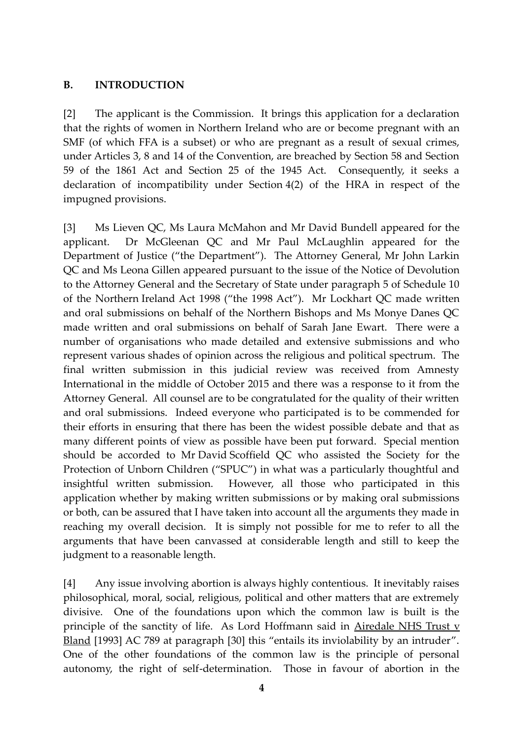#### **B. INTRODUCTION**

[2] The applicant is the Commission. It brings this application for a declaration that the rights of women in Northern Ireland who are or become pregnant with an SMF (of which FFA is a subset) or who are pregnant as a result of sexual crimes, under Articles 3, 8 and 14 of the Convention, are breached by Section 58 and Section 59 of the 1861 Act and Section 25 of the 1945 Act. Consequently, it seeks a declaration of incompatibility under Section 4(2) of the HRA in respect of the impugned provisions.

[3] Ms Lieven QC, Ms Laura McMahon and Mr David Bundell appeared for the applicant. Dr McGleenan QC and Mr Paul McLaughlin appeared for the Department of Justice ("the Department"). The Attorney General, Mr John Larkin QC and Ms Leona Gillen appeared pursuant to the issue of the Notice of Devolution to the Attorney General and the Secretary of State under paragraph 5 of Schedule 10 of the Northern Ireland Act 1998 ("the 1998 Act"). Mr Lockhart QC made written and oral submissions on behalf of the Northern Bishops and Ms Monye Danes QC made written and oral submissions on behalf of Sarah Jane Ewart. There were a number of organisations who made detailed and extensive submissions and who represent various shades of opinion across the religious and political spectrum. The final written submission in this judicial review was received from Amnesty International in the middle of October 2015 and there was a response to it from the Attorney General. All counsel are to be congratulated for the quality of their written and oral submissions. Indeed everyone who participated is to be commended for their efforts in ensuring that there has been the widest possible debate and that as many different points of view as possible have been put forward. Special mention should be accorded to Mr David Scoffield QC who assisted the Society for the Protection of Unborn Children ("SPUC") in what was a particularly thoughtful and insightful written submission. However, all those who participated in this application whether by making written submissions or by making oral submissions or both, can be assured that I have taken into account all the arguments they made in reaching my overall decision. It is simply not possible for me to refer to all the arguments that have been canvassed at considerable length and still to keep the judgment to a reasonable length.

[4] Any issue involving abortion is always highly contentious. It inevitably raises philosophical, moral, social, religious, political and other matters that are extremely divisive. One of the foundations upon which the common law is built is the principle of the sanctity of life. As Lord Hoffmann said in Airedale NHS Trust v Bland [1993] AC 789 at paragraph [30] this "entails its inviolability by an intruder". One of the other foundations of the common law is the principle of personal autonomy, the right of self-determination. Those in favour of abortion in the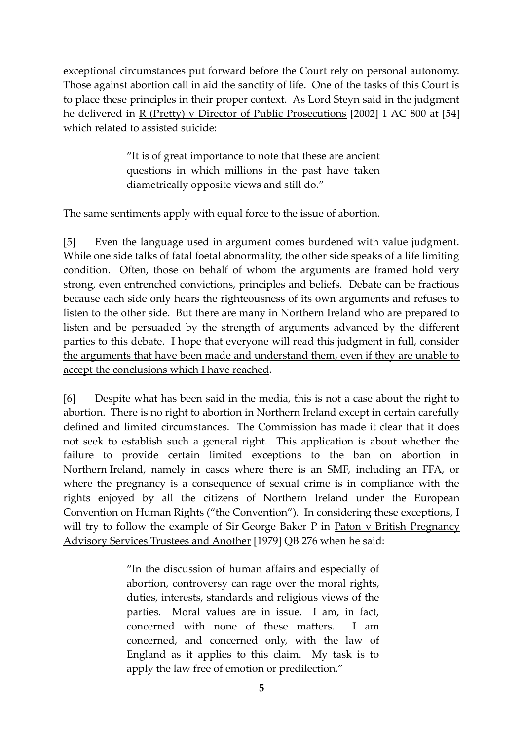exceptional circumstances put forward before the Court rely on personal autonomy. Those against abortion call in aid the sanctity of life. One of the tasks of this Court is to place these principles in their proper context. As Lord Steyn said in the judgment he delivered in R (Pretty) v Director of Public Prosecutions [2002] 1 AC 800 at [54] which related to assisted suicide:

> "It is of great importance to note that these are ancient questions in which millions in the past have taken diametrically opposite views and still do."

The same sentiments apply with equal force to the issue of abortion.

[5] Even the language used in argument comes burdened with value judgment. While one side talks of fatal foetal abnormality, the other side speaks of a life limiting condition. Often, those on behalf of whom the arguments are framed hold very strong, even entrenched convictions, principles and beliefs. Debate can be fractious because each side only hears the righteousness of its own arguments and refuses to listen to the other side. But there are many in Northern Ireland who are prepared to listen and be persuaded by the strength of arguments advanced by the different parties to this debate. I hope that everyone will read this judgment in full, consider the arguments that have been made and understand them, even if they are unable to accept the conclusions which I have reached.

[6] Despite what has been said in the media, this is not a case about the right to abortion. There is no right to abortion in Northern Ireland except in certain carefully defined and limited circumstances. The Commission has made it clear that it does not seek to establish such a general right. This application is about whether the failure to provide certain limited exceptions to the ban on abortion in Northern Ireland, namely in cases where there is an SMF, including an FFA, or where the pregnancy is a consequence of sexual crime is in compliance with the rights enjoyed by all the citizens of Northern Ireland under the European Convention on Human Rights ("the Convention"). In considering these exceptions, I will try to follow the example of Sir George Baker P in Paton v British Pregnancy Advisory Services Trustees and Another [1979] QB 276 when he said:

> "In the discussion of human affairs and especially of abortion, controversy can rage over the moral rights, duties, interests, standards and religious views of the parties. Moral values are in issue. I am, in fact, concerned with none of these matters. I am concerned, and concerned only, with the law of England as it applies to this claim. My task is to apply the law free of emotion or predilection."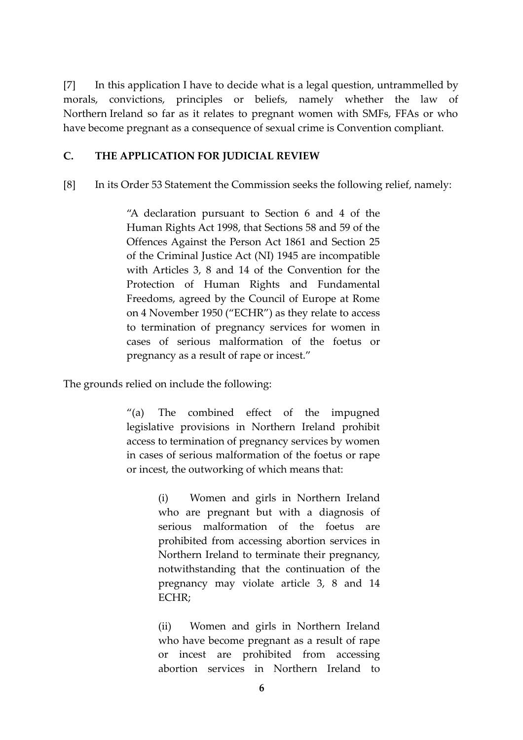[7] In this application I have to decide what is a legal question, untrammelled by morals, convictions, principles or beliefs, namely whether the law of Northern Ireland so far as it relates to pregnant women with SMFs, FFAs or who have become pregnant as a consequence of sexual crime is Convention compliant.

#### **C. THE APPLICATION FOR JUDICIAL REVIEW**

[8] In its Order 53 Statement the Commission seeks the following relief, namely:

"A declaration pursuant to Section 6 and 4 of the Human Rights Act 1998, that Sections 58 and 59 of the Offences Against the Person Act 1861 and Section 25 of the Criminal Justice Act (NI) 1945 are incompatible with Articles 3, 8 and 14 of the Convention for the Protection of Human Rights and Fundamental Freedoms, agreed by the Council of Europe at Rome on 4 November 1950 ("ECHR") as they relate to access to termination of pregnancy services for women in cases of serious malformation of the foetus or pregnancy as a result of rape or incest."

The grounds relied on include the following:

"(a) The combined effect of the impugned legislative provisions in Northern Ireland prohibit access to termination of pregnancy services by women in cases of serious malformation of the foetus or rape or incest, the outworking of which means that:

> (i) Women and girls in Northern Ireland who are pregnant but with a diagnosis of serious malformation of the foetus are prohibited from accessing abortion services in Northern Ireland to terminate their pregnancy, notwithstanding that the continuation of the pregnancy may violate article 3, 8 and 14 ECHR;

> (ii) Women and girls in Northern Ireland who have become pregnant as a result of rape or incest are prohibited from accessing abortion services in Northern Ireland to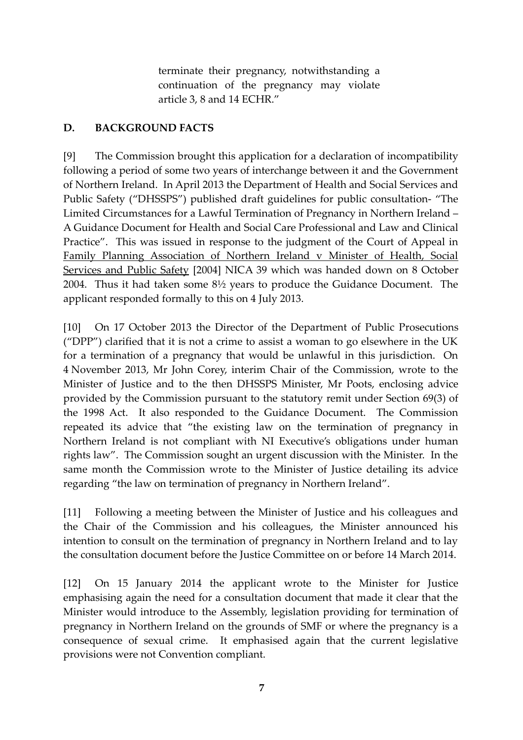terminate their pregnancy, notwithstanding a continuation of the pregnancy may violate article 3, 8 and 14 ECHR."

## **D. BACKGROUND FACTS**

[9] The Commission brought this application for a declaration of incompatibility following a period of some two years of interchange between it and the Government of Northern Ireland. In April 2013 the Department of Health and Social Services and Public Safety ("DHSSPS") published draft guidelines for public consultation- "The Limited Circumstances for a Lawful Termination of Pregnancy in Northern Ireland – A Guidance Document for Health and Social Care Professional and Law and Clinical Practice". This was issued in response to the judgment of the Court of Appeal in Family Planning Association of Northern Ireland v Minister of Health, Social Services and Public Safety [2004] NICA 39 which was handed down on 8 October 2004. Thus it had taken some 8½ years to produce the Guidance Document. The applicant responded formally to this on 4 July 2013.

[10] On 17 October 2013 the Director of the Department of Public Prosecutions ("DPP") clarified that it is not a crime to assist a woman to go elsewhere in the UK for a termination of a pregnancy that would be unlawful in this jurisdiction. On 4 November 2013, Mr John Corey, interim Chair of the Commission, wrote to the Minister of Justice and to the then DHSSPS Minister, Mr Poots, enclosing advice provided by the Commission pursuant to the statutory remit under Section 69(3) of the 1998 Act. It also responded to the Guidance Document. The Commission repeated its advice that "the existing law on the termination of pregnancy in Northern Ireland is not compliant with NI Executive's obligations under human rights law". The Commission sought an urgent discussion with the Minister. In the same month the Commission wrote to the Minister of Justice detailing its advice regarding "the law on termination of pregnancy in Northern Ireland".

[11] Following a meeting between the Minister of Justice and his colleagues and the Chair of the Commission and his colleagues, the Minister announced his intention to consult on the termination of pregnancy in Northern Ireland and to lay the consultation document before the Justice Committee on or before 14 March 2014.

[12] On 15 January 2014 the applicant wrote to the Minister for Justice emphasising again the need for a consultation document that made it clear that the Minister would introduce to the Assembly, legislation providing for termination of pregnancy in Northern Ireland on the grounds of SMF or where the pregnancy is a consequence of sexual crime. It emphasised again that the current legislative provisions were not Convention compliant.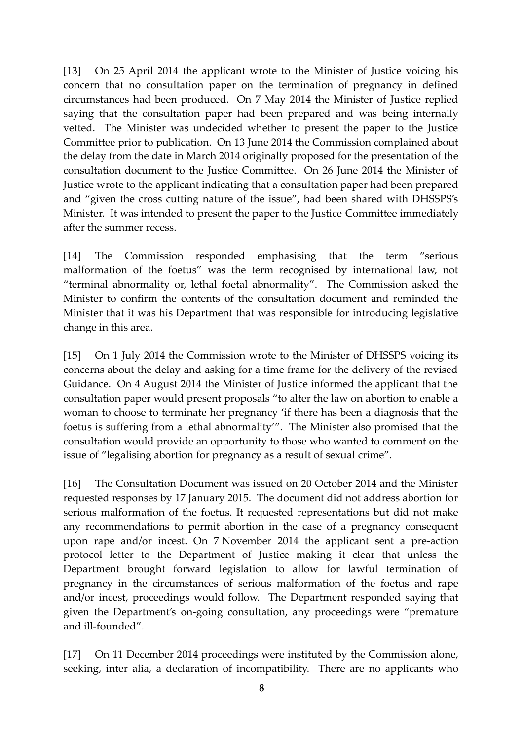[13] On 25 April 2014 the applicant wrote to the Minister of Justice voicing his concern that no consultation paper on the termination of pregnancy in defined circumstances had been produced. On 7 May 2014 the Minister of Justice replied saying that the consultation paper had been prepared and was being internally vetted. The Minister was undecided whether to present the paper to the Justice Committee prior to publication. On 13 June 2014 the Commission complained about the delay from the date in March 2014 originally proposed for the presentation of the consultation document to the Justice Committee. On 26 June 2014 the Minister of Justice wrote to the applicant indicating that a consultation paper had been prepared and "given the cross cutting nature of the issue", had been shared with DHSSPS's Minister. It was intended to present the paper to the Justice Committee immediately after the summer recess.

[14] The Commission responded emphasising that the term "serious malformation of the foetus" was the term recognised by international law, not "terminal abnormality or, lethal foetal abnormality". The Commission asked the Minister to confirm the contents of the consultation document and reminded the Minister that it was his Department that was responsible for introducing legislative change in this area.

[15] On 1 July 2014 the Commission wrote to the Minister of DHSSPS voicing its concerns about the delay and asking for a time frame for the delivery of the revised Guidance. On 4 August 2014 the Minister of Justice informed the applicant that the consultation paper would present proposals "to alter the law on abortion to enable a woman to choose to terminate her pregnancy 'if there has been a diagnosis that the foetus is suffering from a lethal abnormality'". The Minister also promised that the consultation would provide an opportunity to those who wanted to comment on the issue of "legalising abortion for pregnancy as a result of sexual crime".

[16] The Consultation Document was issued on 20 October 2014 and the Minister requested responses by 17 January 2015. The document did not address abortion for serious malformation of the foetus. It requested representations but did not make any recommendations to permit abortion in the case of a pregnancy consequent upon rape and/or incest. On 7 November 2014 the applicant sent a pre-action protocol letter to the Department of Justice making it clear that unless the Department brought forward legislation to allow for lawful termination of pregnancy in the circumstances of serious malformation of the foetus and rape and/or incest, proceedings would follow. The Department responded saying that given the Department's on-going consultation, any proceedings were "premature and ill-founded".

[17] On 11 December 2014 proceedings were instituted by the Commission alone, seeking, inter alia, a declaration of incompatibility. There are no applicants who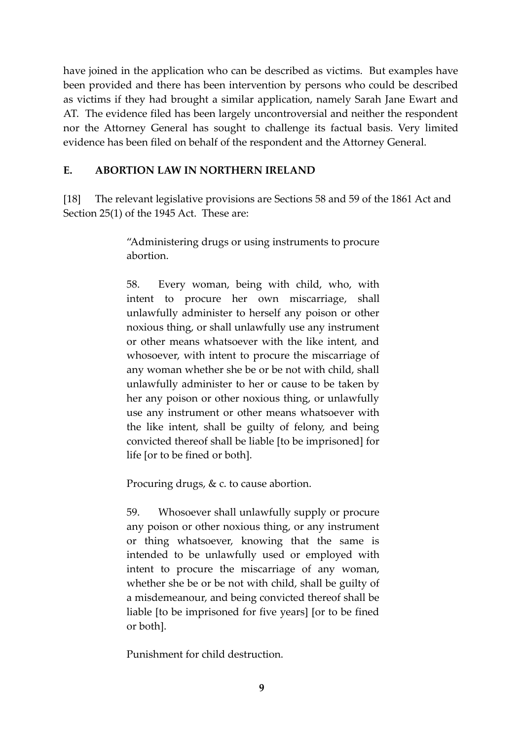have joined in the application who can be described as victims. But examples have been provided and there has been intervention by persons who could be described as victims if they had brought a similar application, namely Sarah Jane Ewart and AT. The evidence filed has been largely uncontroversial and neither the respondent nor the Attorney General has sought to challenge its factual basis. Very limited evidence has been filed on behalf of the respondent and the Attorney General.

#### **E. ABORTION LAW IN NORTHERN IRELAND**

[18] The relevant legislative provisions are Sections 58 and 59 of the 1861 Act and Section 25(1) of the 1945 Act. These are:

> "Administering drugs or using instruments to procure abortion.

> 58. Every woman, being with child, who, with intent to procure her own miscarriage, shall unlawfully administer to herself any poison or other noxious thing, or shall unlawfully use any instrument or other means whatsoever with the like intent, and whosoever, with intent to procure the miscarriage of any woman whether she be or be not with child, shall unlawfully administer to her or cause to be taken by her any poison or other noxious thing, or unlawfully use any instrument or other means whatsoever with the like intent, shall be guilty of felony, and being convicted thereof shall be liable [to be imprisoned] for life [or to be fined or both].

Procuring drugs, & c. to cause abortion.

59. Whosoever shall unlawfully supply or procure any poison or other noxious thing, or any instrument or thing whatsoever, knowing that the same is intended to be unlawfully used or employed with intent to procure the miscarriage of any woman, whether she be or be not with child, shall be guilty of a misdemeanour, and being convicted thereof shall be liable [to be imprisoned for five years] [or to be fined or both].

Punishment for child destruction.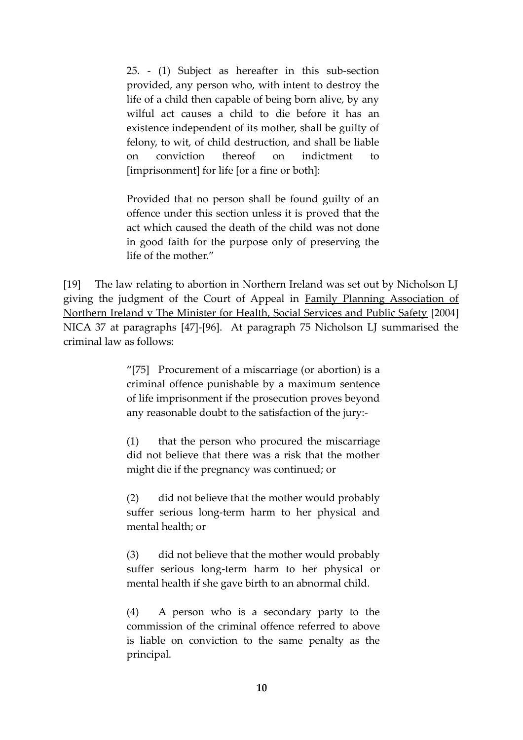25. - (1) Subject as hereafter in this sub-section provided, any person who, with intent to destroy the life of a child then capable of being born alive, by any wilful act causes a child to die before it has an existence independent of its mother, shall be guilty of felony, to wit, of child destruction, and shall be liable on conviction thereof on indictment to [imprisonment] for life [or a fine or both]:

Provided that no person shall be found guilty of an offence under this section unless it is proved that the act which caused the death of the child was not done in good faith for the purpose only of preserving the life of the mother."

[19] The law relating to abortion in Northern Ireland was set out by Nicholson LJ giving the judgment of the Court of Appeal in Family Planning Association of Northern Ireland v The Minister for Health, Social Services and Public Safety [2004] NICA 37 at paragraphs [47]-[96]. At paragraph 75 Nicholson LJ summarised the criminal law as follows:

> "[75] Procurement of a miscarriage (or abortion) is a criminal offence punishable by a maximum sentence of life imprisonment if the prosecution proves beyond any reasonable doubt to the satisfaction of the jury:-

> (1) that the person who procured the miscarriage did not believe that there was a risk that the mother might die if the pregnancy was continued; or

> (2) did not believe that the mother would probably suffer serious long-term harm to her physical and mental health; or

> (3) did not believe that the mother would probably suffer serious long-term harm to her physical or mental health if she gave birth to an abnormal child.

> (4) A person who is a secondary party to the commission of the criminal offence referred to above is liable on conviction to the same penalty as the principal.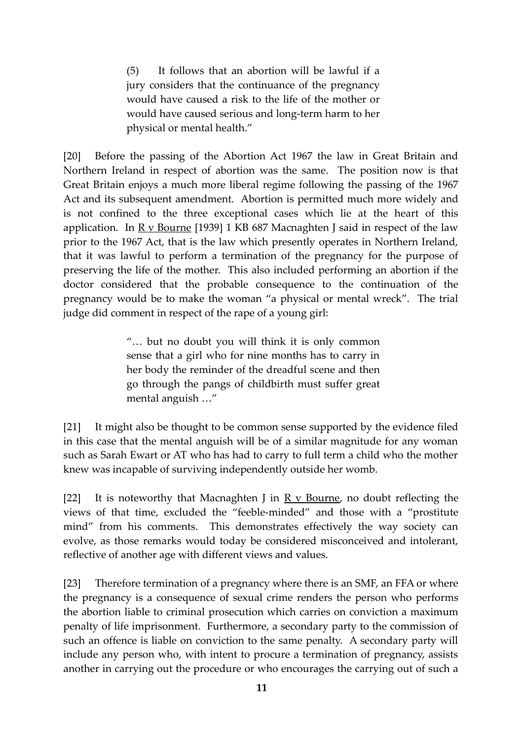(5) It follows that an abortion will be lawful if a jury considers that the continuance of the pregnancy would have caused a risk to the life of the mother or would have caused serious and long-term harm to her physical or mental health."

[20] Before the passing of the Abortion Act 1967 the law in Great Britain and Northern Ireland in respect of abortion was the same. The position now is that Great Britain enjoys a much more liberal regime following the passing of the 1967 Act and its subsequent amendment. Abortion is permitted much more widely and is not confined to the three exceptional cases which lie at the heart of this application. In  $R$  v Bourne [1939] 1 KB 687 Macnaghten J said in respect of the law prior to the 1967 Act, that is the law which presently operates in Northern Ireland, that it was lawful to perform a termination of the pregnancy for the purpose of preserving the life of the mother. This also included performing an abortion if the doctor considered that the probable consequence to the continuation of the pregnancy would be to make the woman "a physical or mental wreck". The trial judge did comment in respect of the rape of a young girl:

> "… but no doubt you will think it is only common sense that a girl who for nine months has to carry in her body the reminder of the dreadful scene and then go through the pangs of childbirth must suffer great mental anguish …"

[21] It might also be thought to be common sense supported by the evidence filed in this case that the mental anguish will be of a similar magnitude for any woman such as Sarah Ewart or AT who has had to carry to full term a child who the mother knew was incapable of surviving independently outside her womb.

[22] It is noteworthy that Macnaghten J in  $R \text{ v}$  Bourne, no doubt reflecting the views of that time, excluded the "feeble-minded" and those with a "prostitute mind" from his comments. This demonstrates effectively the way society can evolve, as those remarks would today be considered misconceived and intolerant, reflective of another age with different views and values.

[23] Therefore termination of a pregnancy where there is an SMF, an FFA or where the pregnancy is a consequence of sexual crime renders the person who performs the abortion liable to criminal prosecution which carries on conviction a maximum penalty of life imprisonment. Furthermore, a secondary party to the commission of such an offence is liable on conviction to the same penalty. A secondary party will include any person who, with intent to procure a termination of pregnancy, assists another in carrying out the procedure or who encourages the carrying out of such a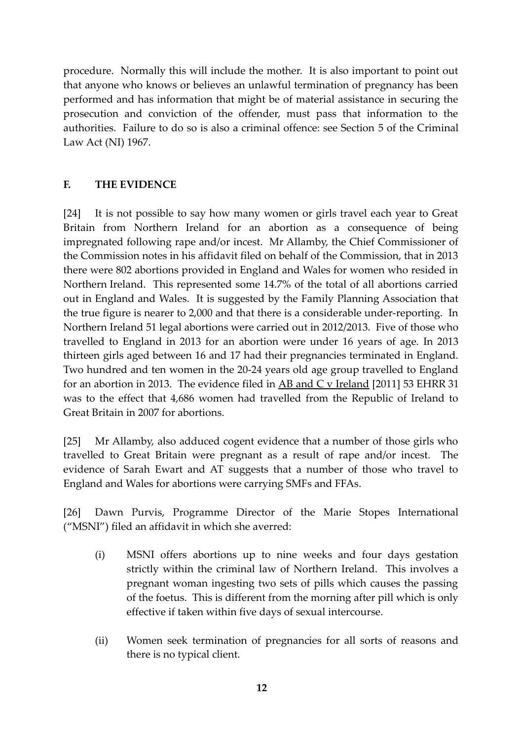procedure. Normally this will include the mother. It is also important to point out that anyone who knows or believes an unlawful termination of pregnancy has been performed and has information that might be of material assistance in securing the prosecution and conviction of the offender, must pass that information to the authorities. Failure to do so is also a criminal offence: see Section 5 of the Criminal Law Act (NI) 1967.

## **F. THE EVIDENCE**

[24] It is not possible to say how many women or girls travel each year to Great Britain from Northern Ireland for an abortion as a consequence of being impregnated following rape and/or incest. Mr Allamby, the Chief Commissioner of the Commission notes in his affidavit filed on behalf of the Commission, that in 2013 there were 802 abortions provided in England and Wales for women who resided in Northern Ireland. This represented some 14.7% of the total of all abortions carried out in England and Wales. It is suggested by the Family Planning Association that the true figure is nearer to 2,000 and that there is a considerable under-reporting. In Northern Ireland 51 legal abortions were carried out in 2012/2013. Five of those who travelled to England in 2013 for an abortion were under 16 years of age. In 2013 thirteen girls aged between 16 and 17 had their pregnancies terminated in England. Two hundred and ten women in the 20-24 years old age group travelled to England for an abortion in 2013. The evidence filed in  $\overline{AB}$  and  $\overline{C}$  v Ireland [2011] 53 EHRR 31 was to the effect that 4,686 women had travelled from the Republic of Ireland to Great Britain in 2007 for abortions.

[25] Mr Allamby, also adduced cogent evidence that a number of those girls who travelled to Great Britain were pregnant as a result of rape and/or incest. The evidence of Sarah Ewart and AT suggests that a number of those who travel to England and Wales for abortions were carrying SMFs and FFAs.

[26] Dawn Purvis, Programme Director of the Marie Stopes International ("MSNI") filed an affidavit in which she averred:

- (i) MSNI offers abortions up to nine weeks and four days gestation strictly within the criminal law of Northern Ireland. This involves a pregnant woman ingesting two sets of pills which causes the passing of the foetus. This is different from the morning after pill which is only effective if taken within five days of sexual intercourse.
- (ii) Women seek termination of pregnancies for all sorts of reasons and there is no typical client.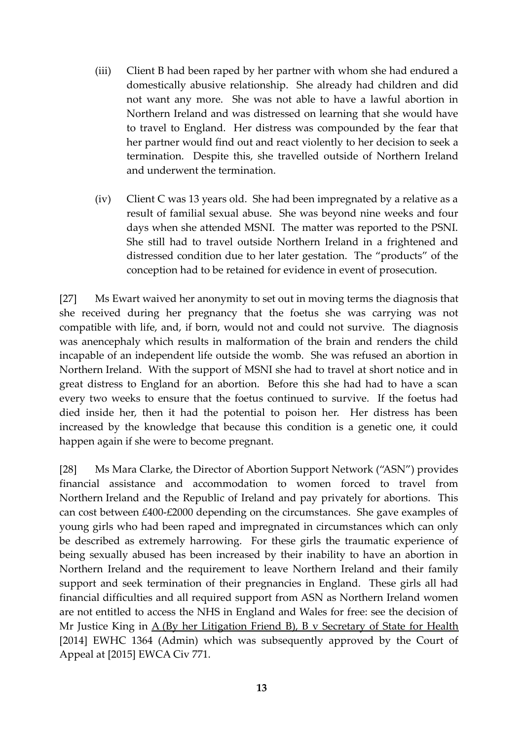- (iii) Client B had been raped by her partner with whom she had endured a domestically abusive relationship. She already had children and did not want any more. She was not able to have a lawful abortion in Northern Ireland and was distressed on learning that she would have to travel to England. Her distress was compounded by the fear that her partner would find out and react violently to her decision to seek a termination. Despite this, she travelled outside of Northern Ireland and underwent the termination.
- (iv) Client C was 13 years old. She had been impregnated by a relative as a result of familial sexual abuse. She was beyond nine weeks and four days when she attended MSNI. The matter was reported to the PSNI. She still had to travel outside Northern Ireland in a frightened and distressed condition due to her later gestation. The "products" of the conception had to be retained for evidence in event of prosecution.

[27] Ms Ewart waived her anonymity to set out in moving terms the diagnosis that she received during her pregnancy that the foetus she was carrying was not compatible with life, and, if born, would not and could not survive. The diagnosis was anencephaly which results in malformation of the brain and renders the child incapable of an independent life outside the womb. She was refused an abortion in Northern Ireland. With the support of MSNI she had to travel at short notice and in great distress to England for an abortion. Before this she had had to have a scan every two weeks to ensure that the foetus continued to survive. If the foetus had died inside her, then it had the potential to poison her. Her distress has been increased by the knowledge that because this condition is a genetic one, it could happen again if she were to become pregnant.

[28] Ms Mara Clarke, the Director of Abortion Support Network ("ASN") provides financial assistance and accommodation to women forced to travel from Northern Ireland and the Republic of Ireland and pay privately for abortions. This can cost between £400-£2000 depending on the circumstances. She gave examples of young girls who had been raped and impregnated in circumstances which can only be described as extremely harrowing. For these girls the traumatic experience of being sexually abused has been increased by their inability to have an abortion in Northern Ireland and the requirement to leave Northern Ireland and their family support and seek termination of their pregnancies in England. These girls all had financial difficulties and all required support from ASN as Northern Ireland women are not entitled to access the NHS in England and Wales for free: see the decision of Mr Justice King in  $\underline{A}$  (By her Litigation Friend B), B v Secretary of State for Health [2014] EWHC 1364 (Admin) which was subsequently approved by the Court of Appeal at [2015] EWCA Civ 771.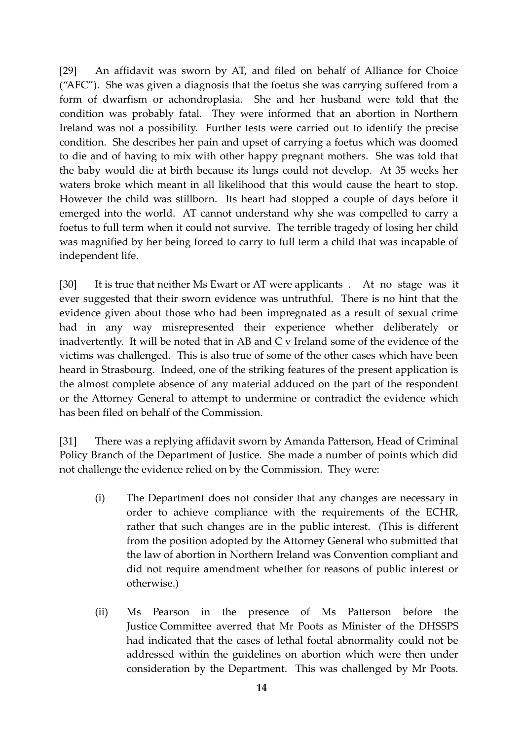[29] An affidavit was sworn by AT, and filed on behalf of Alliance for Choice ("AFC"). She was given a diagnosis that the foetus she was carrying suffered from a form of dwarfism or achondroplasia. She and her husband were told that the condition was probably fatal. They were informed that an abortion in Northern Ireland was not a possibility. Further tests were carried out to identify the precise condition. She describes her pain and upset of carrying a foetus which was doomed to die and of having to mix with other happy pregnant mothers. She was told that the baby would die at birth because its lungs could not develop. At 35 weeks her waters broke which meant in all likelihood that this would cause the heart to stop. However the child was stillborn. Its heart had stopped a couple of days before it emerged into the world. AT cannot understand why she was compelled to carry a foetus to full term when it could not survive. The terrible tragedy of losing her child was magnified by her being forced to carry to full term a child that was incapable of independent life.

[30] It is true that neither Ms Ewart or AT were applicants . At no stage was it ever suggested that their sworn evidence was untruthful. There is no hint that the evidence given about those who had been impregnated as a result of sexual crime had in any way misrepresented their experience whether deliberately or inadvertently. It will be noted that in AB and C v Ireland some of the evidence of the victims was challenged. This is also true of some of the other cases which have been heard in Strasbourg. Indeed, one of the striking features of the present application is the almost complete absence of any material adduced on the part of the respondent or the Attorney General to attempt to undermine or contradict the evidence which has been filed on behalf of the Commission.

[31] There was a replying affidavit sworn by Amanda Patterson, Head of Criminal Policy Branch of the Department of Justice. She made a number of points which did not challenge the evidence relied on by the Commission. They were:

- (i) The Department does not consider that any changes are necessary in order to achieve compliance with the requirements of the ECHR, rather that such changes are in the public interest. (This is different from the position adopted by the Attorney General who submitted that the law of abortion in Northern Ireland was Convention compliant and did not require amendment whether for reasons of public interest or otherwise.)
- (ii) Ms Pearson in the presence of Ms Patterson before the Justice Committee averred that Mr Poots as Minister of the DHSSPS had indicated that the cases of lethal foetal abnormality could not be addressed within the guidelines on abortion which were then under consideration by the Department. This was challenged by Mr Poots.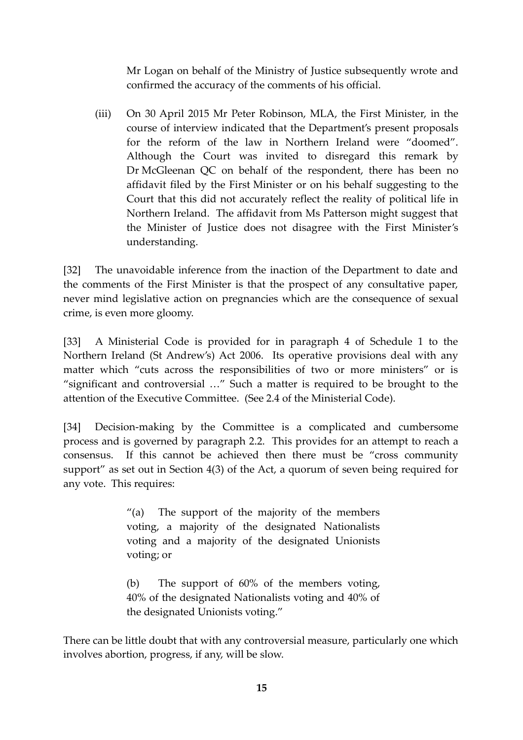Mr Logan on behalf of the Ministry of Justice subsequently wrote and confirmed the accuracy of the comments of his official.

(iii) On 30 April 2015 Mr Peter Robinson, MLA, the First Minister, in the course of interview indicated that the Department's present proposals for the reform of the law in Northern Ireland were "doomed". Although the Court was invited to disregard this remark by Dr McGleenan QC on behalf of the respondent, there has been no affidavit filed by the First Minister or on his behalf suggesting to the Court that this did not accurately reflect the reality of political life in Northern Ireland. The affidavit from Ms Patterson might suggest that the Minister of Justice does not disagree with the First Minister's understanding.

[32] The unavoidable inference from the inaction of the Department to date and the comments of the First Minister is that the prospect of any consultative paper, never mind legislative action on pregnancies which are the consequence of sexual crime, is even more gloomy.

[33] A Ministerial Code is provided for in paragraph 4 of Schedule 1 to the Northern Ireland (St Andrew's) Act 2006. Its operative provisions deal with any matter which "cuts across the responsibilities of two or more ministers" or is "significant and controversial …" Such a matter is required to be brought to the attention of the Executive Committee. (See 2.4 of the Ministerial Code).

[34] Decision-making by the Committee is a complicated and cumbersome process and is governed by paragraph 2.2. This provides for an attempt to reach a consensus. If this cannot be achieved then there must be "cross community support" as set out in Section 4(3) of the Act, a quorum of seven being required for any vote. This requires:

> "(a) The support of the majority of the members voting, a majority of the designated Nationalists voting and a majority of the designated Unionists voting; or

> (b) The support of 60% of the members voting, 40% of the designated Nationalists voting and 40% of the designated Unionists voting."

There can be little doubt that with any controversial measure, particularly one which involves abortion, progress, if any, will be slow.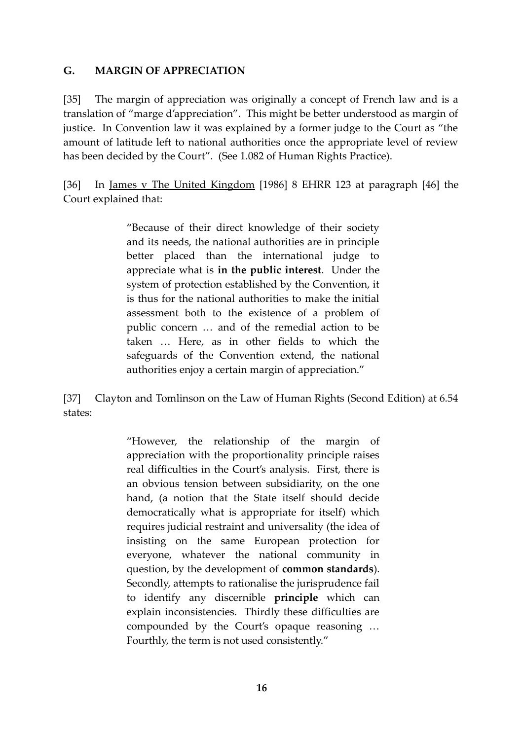#### **G. MARGIN OF APPRECIATION**

[35] The margin of appreciation was originally a concept of French law and is a translation of "marge d'appreciation". This might be better understood as margin of justice. In Convention law it was explained by a former judge to the Court as "the amount of latitude left to national authorities once the appropriate level of review has been decided by the Court". (See 1.082 of Human Rights Practice).

[36] In <u>James v The United Kingdom</u> [1986] 8 EHRR 123 at paragraph [46] the Court explained that:

> "Because of their direct knowledge of their society and its needs, the national authorities are in principle better placed than the international judge to appreciate what is **in the public interest**. Under the system of protection established by the Convention, it is thus for the national authorities to make the initial assessment both to the existence of a problem of public concern … and of the remedial action to be taken … Here, as in other fields to which the safeguards of the Convention extend, the national authorities enjoy a certain margin of appreciation."

[37] Clayton and Tomlinson on the Law of Human Rights (Second Edition) at 6.54 states:

> "However, the relationship of the margin of appreciation with the proportionality principle raises real difficulties in the Court's analysis. First, there is an obvious tension between subsidiarity, on the one hand, (a notion that the State itself should decide democratically what is appropriate for itself) which requires judicial restraint and universality (the idea of insisting on the same European protection for everyone, whatever the national community in question, by the development of **common standards**). Secondly, attempts to rationalise the jurisprudence fail to identify any discernible **principle** which can explain inconsistencies. Thirdly these difficulties are compounded by the Court's opaque reasoning … Fourthly, the term is not used consistently."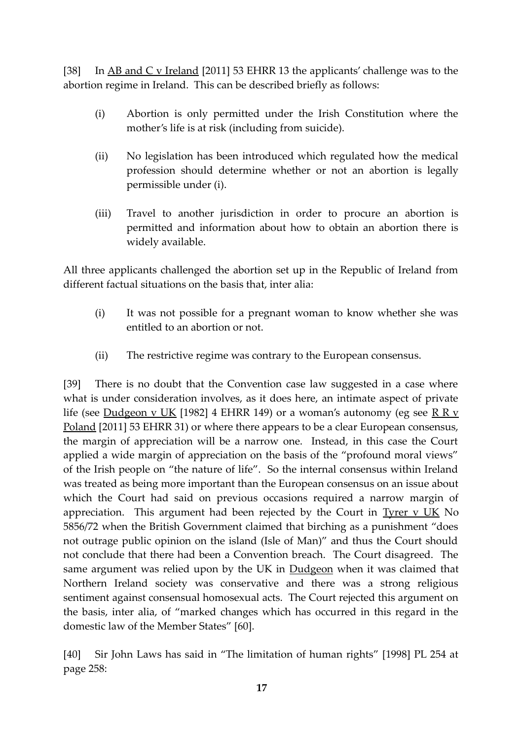[38] In AB and C v Ireland [2011] 53 EHRR 13 the applicants' challenge was to the abortion regime in Ireland. This can be described briefly as follows:

- (i) Abortion is only permitted under the Irish Constitution where the mother's life is at risk (including from suicide).
- (ii) No legislation has been introduced which regulated how the medical profession should determine whether or not an abortion is legally permissible under (i).
- (iii) Travel to another jurisdiction in order to procure an abortion is permitted and information about how to obtain an abortion there is widely available.

All three applicants challenged the abortion set up in the Republic of Ireland from different factual situations on the basis that, inter alia:

- (i) It was not possible for a pregnant woman to know whether she was entitled to an abortion or not.
- (ii) The restrictive regime was contrary to the European consensus.

[39] There is no doubt that the Convention case law suggested in a case where what is under consideration involves, as it does here, an intimate aspect of private life (see Dudgeon v UK [1982] 4 EHRR 149) or a woman's autonomy (eg see R R v Poland [2011] 53 EHRR 31) or where there appears to be a clear European consensus, the margin of appreciation will be a narrow one. Instead, in this case the Court applied a wide margin of appreciation on the basis of the "profound moral views" of the Irish people on "the nature of life". So the internal consensus within Ireland was treated as being more important than the European consensus on an issue about which the Court had said on previous occasions required a narrow margin of appreciation. This argument had been rejected by the Court in Tyrer  $v$  UK No 5856/72 when the British Government claimed that birching as a punishment "does not outrage public opinion on the island (Isle of Man)" and thus the Court should not conclude that there had been a Convention breach. The Court disagreed. The same argument was relied upon by the UK in **Dudgeon** when it was claimed that Northern Ireland society was conservative and there was a strong religious sentiment against consensual homosexual acts. The Court rejected this argument on the basis, inter alia, of "marked changes which has occurred in this regard in the domestic law of the Member States" [60].

[40] Sir John Laws has said in "The limitation of human rights" [1998] PL 254 at page 258: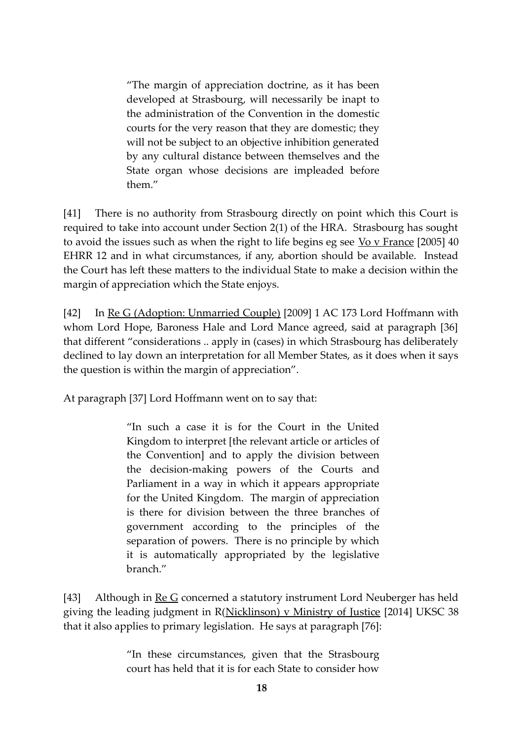"The margin of appreciation doctrine, as it has been developed at Strasbourg, will necessarily be inapt to the administration of the Convention in the domestic courts for the very reason that they are domestic; they will not be subject to an objective inhibition generated by any cultural distance between themselves and the State organ whose decisions are impleaded before them."

[41] There is no authority from Strasbourg directly on point which this Court is required to take into account under Section 2(1) of the HRA. Strasbourg has sought to avoid the issues such as when the right to life begins eg see  $\underline{V}o \vee \underline{F}r$  [2005] 40 EHRR 12 and in what circumstances, if any, abortion should be available. Instead the Court has left these matters to the individual State to make a decision within the margin of appreciation which the State enjoys.

[42] In Re G (Adoption: Unmarried Couple) [2009] 1 AC 173 Lord Hoffmann with whom Lord Hope, Baroness Hale and Lord Mance agreed, said at paragraph [36] that different "considerations .. apply in (cases) in which Strasbourg has deliberately declined to lay down an interpretation for all Member States, as it does when it says the question is within the margin of appreciation".

At paragraph [37] Lord Hoffmann went on to say that:

"In such a case it is for the Court in the United Kingdom to interpret [the relevant article or articles of the Convention] and to apply the division between the decision-making powers of the Courts and Parliament in a way in which it appears appropriate for the United Kingdom. The margin of appreciation is there for division between the three branches of government according to the principles of the separation of powers. There is no principle by which it is automatically appropriated by the legislative branch."

[43] Although in Re G concerned a statutory instrument Lord Neuberger has held giving the leading judgment in R(Nicklinson) v Ministry of Justice [2014] UKSC 38 that it also applies to primary legislation. He says at paragraph [76]:

> "In these circumstances, given that the Strasbourg court has held that it is for each State to consider how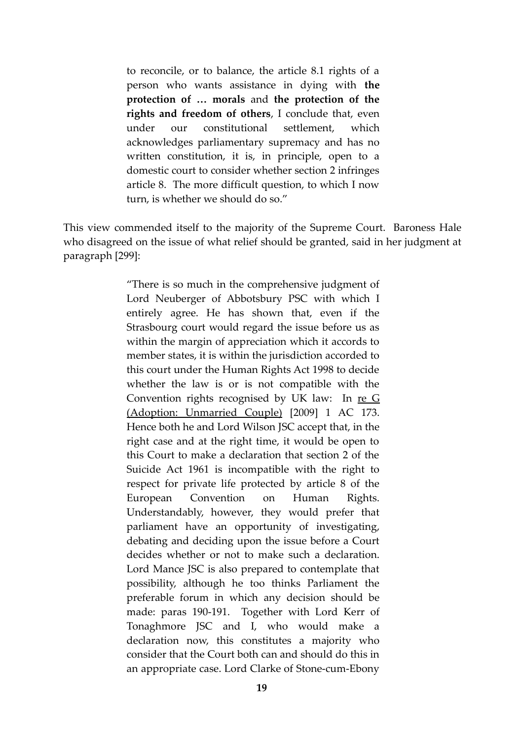to reconcile, or to balance, the article 8.1 rights of a person who wants assistance in dying with **the protection of … morals** and **the protection of the rights and freedom of others**, I conclude that, even under our constitutional settlement, which acknowledges parliamentary supremacy and has no written constitution, it is, in principle, open to a domestic court to consider whether section 2 infringes article 8. The more difficult question, to which I now turn, is whether we should do so."

This view commended itself to the majority of the Supreme Court. Baroness Hale who disagreed on the issue of what relief should be granted, said in her judgment at paragraph [299]:

> "There is so much in the comprehensive judgment of Lord Neuberger of Abbotsbury PSC with which I entirely agree. He has shown that, even if the Strasbourg court would regard the issue before us as within the margin of appreciation which it accords to member states, it is within the jurisdiction accorded to this court under the Human Rights Act 1998 to decide whether the law is or is not compatible with the Convention rights recognised by UK law: In re G (Adoption: Unmarried Couple) [2009] 1 AC 173. Hence both he and Lord Wilson JSC accept that, in the right case and at the right time, it would be open to this Court to make a declaration that section 2 of the Suicide Act 1961 is incompatible with the right to respect for private life protected by article 8 of the European Convention on Human Rights. Understandably, however, they would prefer that parliament have an opportunity of investigating, debating and deciding upon the issue before a Court decides whether or not to make such a declaration. Lord Mance JSC is also prepared to contemplate that possibility, although he too thinks Parliament the preferable forum in which any decision should be made: paras 190-191. Together with Lord Kerr of Tonaghmore JSC and I, who would make a declaration now, this constitutes a majority who consider that the Court both can and should do this in an appropriate case. Lord Clarke of Stone-cum-Ebony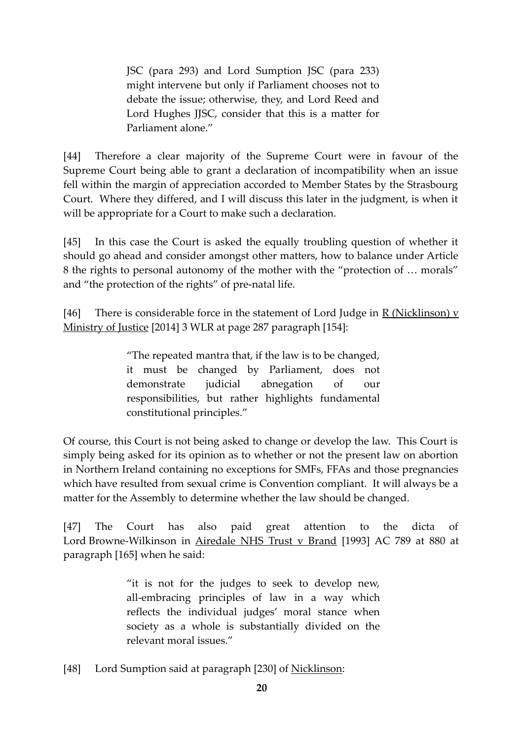JSC (para 293) and Lord Sumption JSC (para 233) might intervene but only if Parliament chooses not to debate the issue; otherwise, they, and Lord Reed and Lord Hughes JJSC, consider that this is a matter for Parliament alone."

[44] Therefore a clear majority of the Supreme Court were in favour of the Supreme Court being able to grant a declaration of incompatibility when an issue fell within the margin of appreciation accorded to Member States by the Strasbourg Court. Where they differed, and I will discuss this later in the judgment, is when it will be appropriate for a Court to make such a declaration.

[45] In this case the Court is asked the equally troubling question of whether it should go ahead and consider amongst other matters, how to balance under Article 8 the rights to personal autonomy of the mother with the "protection of … morals" and "the protection of the rights" of pre-natal life.

[46] There is considerable force in the statement of Lord Judge in R (Nicklinson)  $\bf{v}$ Ministry of Justice [2014] 3 WLR at page 287 paragraph [154]:

> "The repeated mantra that, if the law is to be changed, it must be changed by Parliament, does not demonstrate judicial abnegation of our responsibilities, but rather highlights fundamental constitutional principles."

Of course, this Court is not being asked to change or develop the law. This Court is simply being asked for its opinion as to whether or not the present law on abortion in Northern Ireland containing no exceptions for SMFs, FFAs and those pregnancies which have resulted from sexual crime is Convention compliant. It will always be a matter for the Assembly to determine whether the law should be changed.

[47] The Court has also paid great attention to the dicta of Lord Browne-Wilkinson in Airedale NHS Trust v Brand [1993] AC 789 at 880 at paragraph [165] when he said:

> "it is not for the judges to seek to develop new, all-embracing principles of law in a way which reflects the individual judges' moral stance when society as a whole is substantially divided on the relevant moral issues."

[48] Lord Sumption said at paragraph [230] of Nicklinson: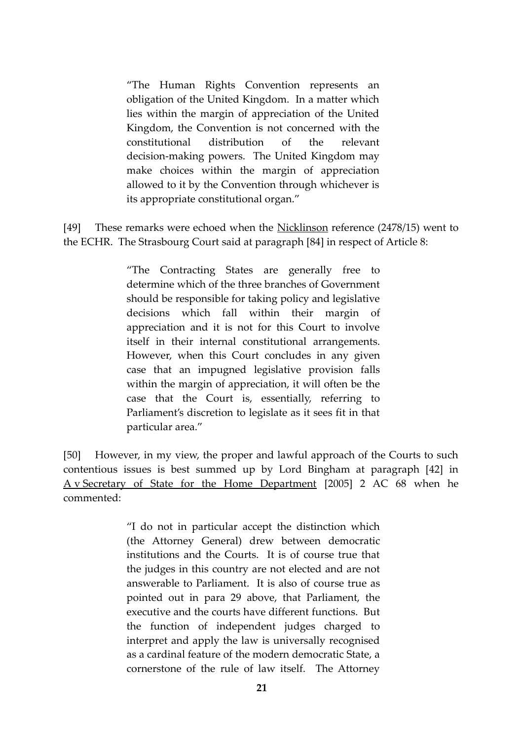"The Human Rights Convention represents an obligation of the United Kingdom. In a matter which lies within the margin of appreciation of the United Kingdom, the Convention is not concerned with the constitutional distribution of the relevant decision-making powers. The United Kingdom may make choices within the margin of appreciation allowed to it by the Convention through whichever is its appropriate constitutional organ."

[49] These remarks were echoed when the Nicklinson reference (2478/15) went to the ECHR. The Strasbourg Court said at paragraph [84] in respect of Article 8:

> "The Contracting States are generally free to determine which of the three branches of Government should be responsible for taking policy and legislative decisions which fall within their margin of appreciation and it is not for this Court to involve itself in their internal constitutional arrangements. However, when this Court concludes in any given case that an impugned legislative provision falls within the margin of appreciation, it will often be the case that the Court is, essentially, referring to Parliament's discretion to legislate as it sees fit in that particular area."

[50] However, in my view, the proper and lawful approach of the Courts to such contentious issues is best summed up by Lord Bingham at paragraph [42] in A v Secretary of State for the Home Department [2005] 2 AC 68 when he commented:

> "I do not in particular accept the distinction which (the Attorney General) drew between democratic institutions and the Courts. It is of course true that the judges in this country are not elected and are not answerable to Parliament. It is also of course true as pointed out in para 29 above, that Parliament, the executive and the courts have different functions. But the function of independent judges charged to interpret and apply the law is universally recognised as a cardinal feature of the modern democratic State, a cornerstone of the rule of law itself. The Attorney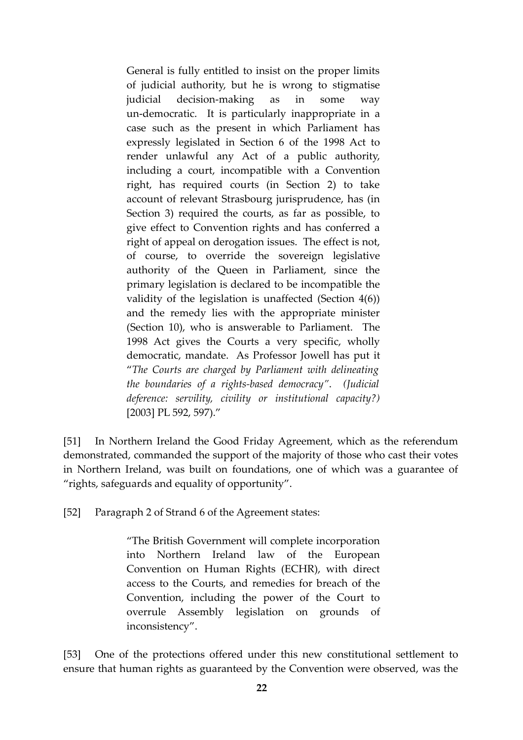General is fully entitled to insist on the proper limits of judicial authority, but he is wrong to stigmatise judicial decision-making as in some way un-democratic. It is particularly inappropriate in a case such as the present in which Parliament has expressly legislated in Section 6 of the 1998 Act to render unlawful any Act of a public authority, including a court, incompatible with a Convention right, has required courts (in Section 2) to take account of relevant Strasbourg jurisprudence, has (in Section 3) required the courts, as far as possible, to give effect to Convention rights and has conferred a right of appeal on derogation issues. The effect is not, of course, to override the sovereign legislative authority of the Queen in Parliament, since the primary legislation is declared to be incompatible the validity of the legislation is unaffected (Section 4(6)) and the remedy lies with the appropriate minister (Section 10), who is answerable to Parliament. The 1998 Act gives the Courts a very specific, wholly democratic, mandate. As Professor Jowell has put it "*The Courts are charged by Parliament with delineating the boundaries of a rights-based democracy"*. *(Judicial deference: servility, civility or institutional capacity?)* [2003] PL 592, 597)."

[51] In Northern Ireland the Good Friday Agreement, which as the referendum demonstrated, commanded the support of the majority of those who cast their votes in Northern Ireland, was built on foundations, one of which was a guarantee of "rights, safeguards and equality of opportunity".

[52] Paragraph 2 of Strand 6 of the Agreement states:

"The British Government will complete incorporation into Northern Ireland law of the European Convention on Human Rights (ECHR), with direct access to the Courts, and remedies for breach of the Convention, including the power of the Court to overrule Assembly legislation on grounds of inconsistency".

[53] One of the protections offered under this new constitutional settlement to ensure that human rights as guaranteed by the Convention were observed, was the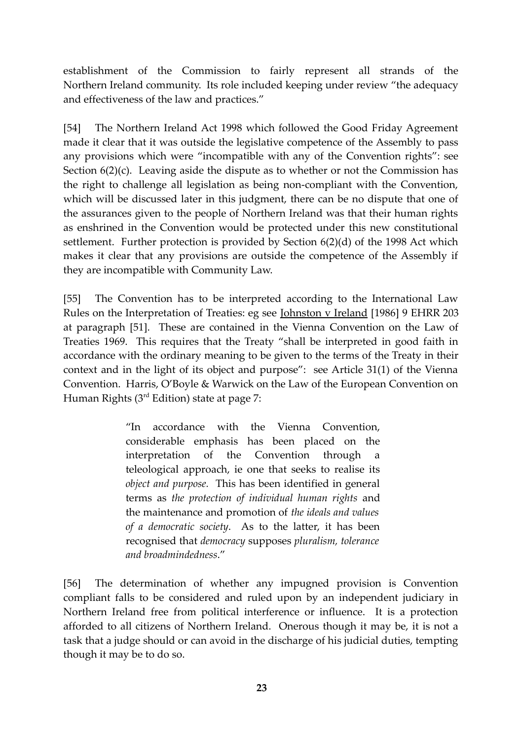establishment of the Commission to fairly represent all strands of the Northern Ireland community. Its role included keeping under review "the adequacy and effectiveness of the law and practices."

[54] The Northern Ireland Act 1998 which followed the Good Friday Agreement made it clear that it was outside the legislative competence of the Assembly to pass any provisions which were "incompatible with any of the Convention rights": see Section  $6(2)(c)$ . Leaving aside the dispute as to whether or not the Commission has the right to challenge all legislation as being non-compliant with the Convention, which will be discussed later in this judgment, there can be no dispute that one of the assurances given to the people of Northern Ireland was that their human rights as enshrined in the Convention would be protected under this new constitutional settlement. Further protection is provided by Section 6(2)(d) of the 1998 Act which makes it clear that any provisions are outside the competence of the Assembly if they are incompatible with Community Law.

[55] The Convention has to be interpreted according to the International Law Rules on the Interpretation of Treaties: eg see Johnston v Ireland [1986] 9 EHRR 203 at paragraph [51]. These are contained in the Vienna Convention on the Law of Treaties 1969. This requires that the Treaty "shall be interpreted in good faith in accordance with the ordinary meaning to be given to the terms of the Treaty in their context and in the light of its object and purpose": see Article 31(1) of the Vienna Convention. Harris, O'Boyle & Warwick on the Law of the European Convention on Human Rights  $(3<sup>rd</sup> Edition)$  state at page 7:

> "In accordance with the Vienna Convention, considerable emphasis has been placed on the interpretation of the Convention through teleological approach, ie one that seeks to realise its *object and purpose.* This has been identified in general terms as *the protection of individual human rights* and the maintenance and promotion of *the ideals and values of a democratic society*. As to the latter, it has been recognised that *democracy* supposes *pluralism, tolerance and broadmindedness*."

[56] The determination of whether any impugned provision is Convention compliant falls to be considered and ruled upon by an independent judiciary in Northern Ireland free from political interference or influence. It is a protection afforded to all citizens of Northern Ireland. Onerous though it may be, it is not a task that a judge should or can avoid in the discharge of his judicial duties, tempting though it may be to do so.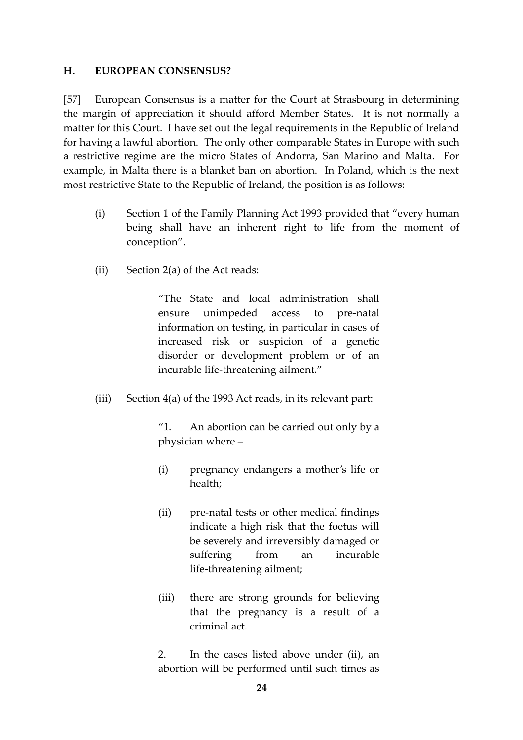#### **H. EUROPEAN CONSENSUS?**

[57] European Consensus is a matter for the Court at Strasbourg in determining the margin of appreciation it should afford Member States. It is not normally a matter for this Court. I have set out the legal requirements in the Republic of Ireland for having a lawful abortion. The only other comparable States in Europe with such a restrictive regime are the micro States of Andorra, San Marino and Malta. For example, in Malta there is a blanket ban on abortion. In Poland, which is the next most restrictive State to the Republic of Ireland, the position is as follows:

- (i) Section 1 of the Family Planning Act 1993 provided that "every human being shall have an inherent right to life from the moment of conception".
- (ii) Section 2(a) of the Act reads:

"The State and local administration shall ensure unimpeded access to pre-natal information on testing, in particular in cases of increased risk or suspicion of a genetic disorder or development problem or of an incurable life-threatening ailment."

(iii) Section 4(a) of the 1993 Act reads, in its relevant part:

"1. An abortion can be carried out only by a physician where –

- (i) pregnancy endangers a mother's life or health;
- (ii) pre-natal tests or other medical findings indicate a high risk that the foetus will be severely and irreversibly damaged or suffering from an incurable life-threatening ailment;
- (iii) there are strong grounds for believing that the pregnancy is a result of a criminal act.

2. In the cases listed above under (ii), an abortion will be performed until such times as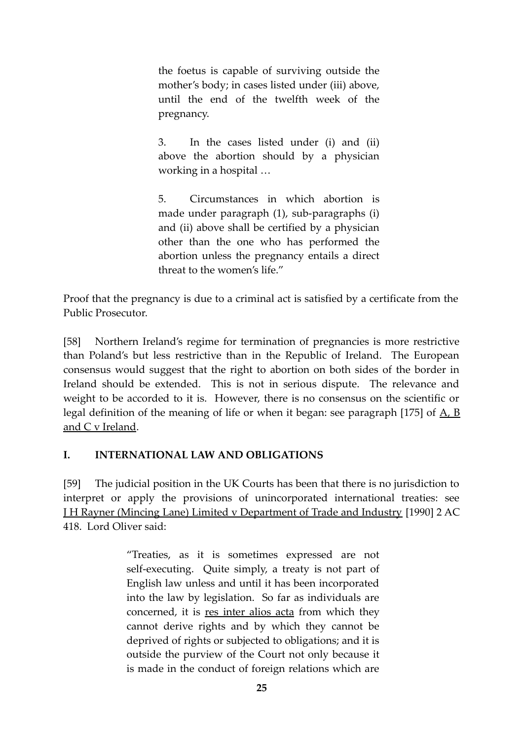the foetus is capable of surviving outside the mother's body; in cases listed under (iii) above, until the end of the twelfth week of the pregnancy.

3. In the cases listed under (i) and (ii) above the abortion should by a physician working in a hospital …

5. Circumstances in which abortion is made under paragraph (1), sub-paragraphs (i) and (ii) above shall be certified by a physician other than the one who has performed the abortion unless the pregnancy entails a direct threat to the women's life."

Proof that the pregnancy is due to a criminal act is satisfied by a certificate from the Public Prosecutor.

[58] Northern Ireland's regime for termination of pregnancies is more restrictive than Poland's but less restrictive than in the Republic of Ireland. The European consensus would suggest that the right to abortion on both sides of the border in Ireland should be extended. This is not in serious dispute. The relevance and weight to be accorded to it is. However, there is no consensus on the scientific or legal definition of the meaning of life or when it began: see paragraph [175] of  $\underline{A}$ ,  $\underline{B}$ and C v Ireland.

# **I. INTERNATIONAL LAW AND OBLIGATIONS**

[59] The judicial position in the UK Courts has been that there is no jurisdiction to interpret or apply the provisions of unincorporated international treaties: see J H Rayner (Mincing Lane) Limited v Department of Trade and Industry [1990] 2 AC 418. Lord Oliver said:

> "Treaties, as it is sometimes expressed are not self-executing. Quite simply, a treaty is not part of English law unless and until it has been incorporated into the law by legislation. So far as individuals are concerned, it is res inter alios acta from which they cannot derive rights and by which they cannot be deprived of rights or subjected to obligations; and it is outside the purview of the Court not only because it is made in the conduct of foreign relations which are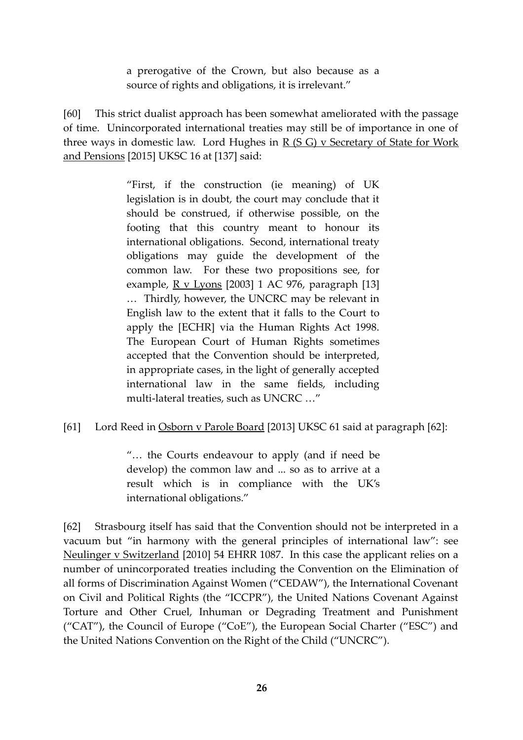a prerogative of the Crown, but also because as a source of rights and obligations, it is irrelevant."

[60] This strict dualist approach has been somewhat ameliorated with the passage of time. Unincorporated international treaties may still be of importance in one of three ways in domestic law. Lord Hughes in R (S G) v Secretary of State for Work and Pensions [2015] UKSC 16 at [137] said:

> "First, if the construction (ie meaning) of UK legislation is in doubt, the court may conclude that it should be construed, if otherwise possible, on the footing that this country meant to honour its international obligations. Second, international treaty obligations may guide the development of the common law. For these two propositions see, for example,  $R$  v Lyons [2003] 1 AC 976, paragraph [13] … Thirdly, however, the UNCRC may be relevant in English law to the extent that it falls to the Court to apply the [ECHR] via the Human Rights Act 1998. The European Court of Human Rights sometimes accepted that the Convention should be interpreted, in appropriate cases, in the light of generally accepted international law in the same fields, including multi-lateral treaties, such as UNCRC …"

## [61] Lord Reed in Osborn v Parole Board [2013] UKSC 61 said at paragraph [62]:

"… the Courts endeavour to apply (and if need be develop) the common law and ... so as to arrive at a result which is in compliance with the UK's international obligations."

[62] Strasbourg itself has said that the Convention should not be interpreted in a vacuum but "in harmony with the general principles of international law": see Neulinger v Switzerland [2010] 54 EHRR 1087. In this case the applicant relies on a number of unincorporated treaties including the Convention on the Elimination of all forms of Discrimination Against Women ("CEDAW"), the International Covenant on Civil and Political Rights (the "ICCPR"), the United Nations Covenant Against Torture and Other Cruel, Inhuman or Degrading Treatment and Punishment ("CAT"), the Council of Europe ("CoE"), the European Social Charter ("ESC") and the United Nations Convention on the Right of the Child ("UNCRC").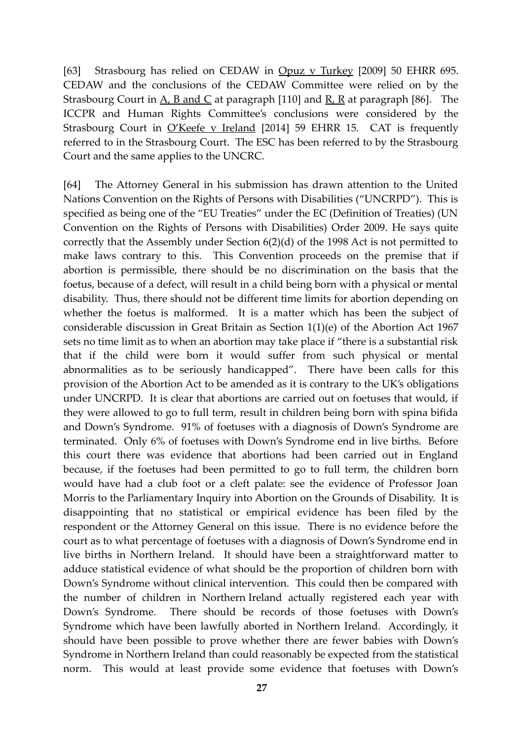[63] Strasbourg has relied on CEDAW in Opuz v Turkey [2009] 50 EHRR 695. CEDAW and the conclusions of the CEDAW Committee were relied on by the Strasbourg Court in  $\underline{A}$ ,  $\underline{B}$  and  $\underline{C}$  at paragraph [110] and  $\underline{R}$ ,  $\underline{R}$  at paragraph [86]. The ICCPR and Human Rights Committee's conclusions were considered by the Strasbourg Court in O'Keefe v Ireland [2014] 59 EHRR 15. CAT is frequently referred to in the Strasbourg Court. The ESC has been referred to by the Strasbourg Court and the same applies to the UNCRC.

[64] The Attorney General in his submission has drawn attention to the United Nations Convention on the Rights of Persons with Disabilities ("UNCRPD"). This is specified as being one of the "EU Treaties" under the EC (Definition of Treaties) (UN Convention on the Rights of Persons with Disabilities) Order 2009. He says quite correctly that the Assembly under Section 6(2)(d) of the 1998 Act is not permitted to make laws contrary to this. This Convention proceeds on the premise that if abortion is permissible, there should be no discrimination on the basis that the foetus, because of a defect, will result in a child being born with a physical or mental disability. Thus, there should not be different time limits for abortion depending on whether the foetus is malformed. It is a matter which has been the subject of considerable discussion in Great Britain as Section 1(1)(e) of the Abortion Act 1967 sets no time limit as to when an abortion may take place if "there is a substantial risk that if the child were born it would suffer from such physical or mental abnormalities as to be seriously handicapped". There have been calls for this provision of the Abortion Act to be amended as it is contrary to the UK's obligations under UNCRPD. It is clear that abortions are carried out on foetuses that would, if they were allowed to go to full term, result in children being born with spina bifida and Down's Syndrome. 91% of foetuses with a diagnosis of Down's Syndrome are terminated. Only 6% of foetuses with Down's Syndrome end in live births. Before this court there was evidence that abortions had been carried out in England because, if the foetuses had been permitted to go to full term, the children born would have had a club foot or a cleft palate: see the evidence of Professor Joan Morris to the Parliamentary Inquiry into Abortion on the Grounds of Disability. It is disappointing that no statistical or empirical evidence has been filed by the respondent or the Attorney General on this issue. There is no evidence before the court as to what percentage of foetuses with a diagnosis of Down's Syndrome end in live births in Northern Ireland. It should have been a straightforward matter to adduce statistical evidence of what should be the proportion of children born with Down's Syndrome without clinical intervention. This could then be compared with the number of children in Northern Ireland actually registered each year with Down's Syndrome. There should be records of those foetuses with Down's Syndrome which have been lawfully aborted in Northern Ireland. Accordingly, it should have been possible to prove whether there are fewer babies with Down's Syndrome in Northern Ireland than could reasonably be expected from the statistical norm. This would at least provide some evidence that foetuses with Down's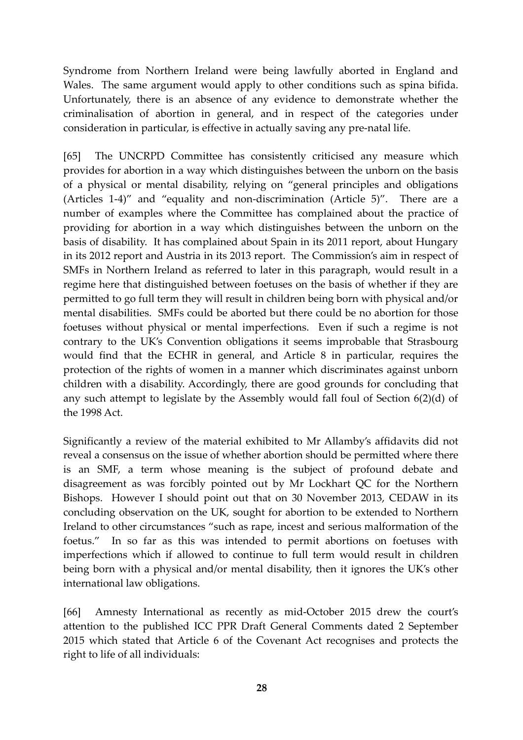Syndrome from Northern Ireland were being lawfully aborted in England and Wales. The same argument would apply to other conditions such as spina bifida. Unfortunately, there is an absence of any evidence to demonstrate whether the criminalisation of abortion in general, and in respect of the categories under consideration in particular, is effective in actually saving any pre-natal life.

[65] The UNCRPD Committee has consistently criticised any measure which provides for abortion in a way which distinguishes between the unborn on the basis of a physical or mental disability, relying on "general principles and obligations (Articles 1-4)" and "equality and non-discrimination (Article 5)". There are a number of examples where the Committee has complained about the practice of providing for abortion in a way which distinguishes between the unborn on the basis of disability. It has complained about Spain in its 2011 report, about Hungary in its 2012 report and Austria in its 2013 report. The Commission's aim in respect of SMFs in Northern Ireland as referred to later in this paragraph, would result in a regime here that distinguished between foetuses on the basis of whether if they are permitted to go full term they will result in children being born with physical and/or mental disabilities. SMFs could be aborted but there could be no abortion for those foetuses without physical or mental imperfections. Even if such a regime is not contrary to the UK's Convention obligations it seems improbable that Strasbourg would find that the ECHR in general, and Article 8 in particular, requires the protection of the rights of women in a manner which discriminates against unborn children with a disability. Accordingly, there are good grounds for concluding that any such attempt to legislate by the Assembly would fall foul of Section 6(2)(d) of the 1998 Act.

Significantly a review of the material exhibited to Mr Allamby's affidavits did not reveal a consensus on the issue of whether abortion should be permitted where there is an SMF, a term whose meaning is the subject of profound debate and disagreement as was forcibly pointed out by Mr Lockhart QC for the Northern Bishops. However I should point out that on 30 November 2013, CEDAW in its concluding observation on the UK, sought for abortion to be extended to Northern Ireland to other circumstances "such as rape, incest and serious malformation of the foetus." In so far as this was intended to permit abortions on foetuses with imperfections which if allowed to continue to full term would result in children being born with a physical and/or mental disability, then it ignores the UK's other international law obligations.

[66] Amnesty International as recently as mid-October 2015 drew the court's attention to the published ICC PPR Draft General Comments dated 2 September 2015 which stated that Article 6 of the Covenant Act recognises and protects the right to life of all individuals: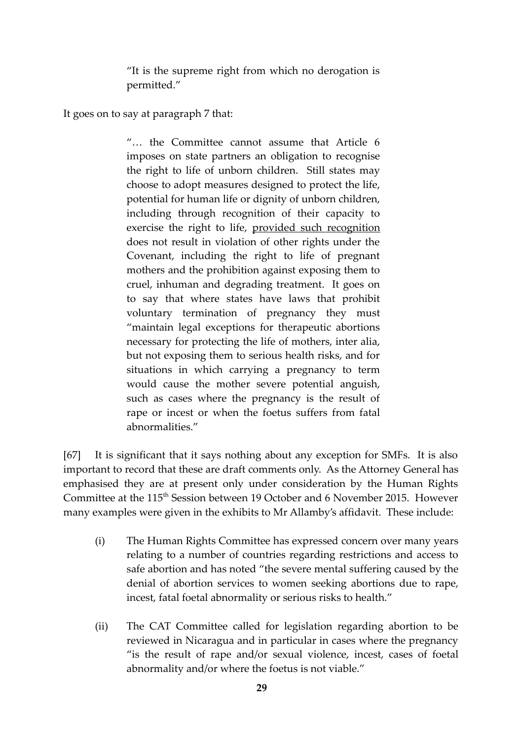"It is the supreme right from which no derogation is permitted."

It goes on to say at paragraph 7 that:

"… the Committee cannot assume that Article 6 imposes on state partners an obligation to recognise the right to life of unborn children. Still states may choose to adopt measures designed to protect the life, potential for human life or dignity of unborn children, including through recognition of their capacity to exercise the right to life, provided such recognition does not result in violation of other rights under the Covenant, including the right to life of pregnant mothers and the prohibition against exposing them to cruel, inhuman and degrading treatment. It goes on to say that where states have laws that prohibit voluntary termination of pregnancy they must "maintain legal exceptions for therapeutic abortions necessary for protecting the life of mothers, inter alia, but not exposing them to serious health risks, and for situations in which carrying a pregnancy to term would cause the mother severe potential anguish, such as cases where the pregnancy is the result of rape or incest or when the foetus suffers from fatal abnormalities."

[67] It is significant that it says nothing about any exception for SMFs. It is also important to record that these are draft comments only. As the Attorney General has emphasised they are at present only under consideration by the Human Rights Committee at the 115<sup>th</sup> Session between 19 October and 6 November 2015. However many examples were given in the exhibits to Mr Allamby's affidavit. These include:

- (i) The Human Rights Committee has expressed concern over many years relating to a number of countries regarding restrictions and access to safe abortion and has noted "the severe mental suffering caused by the denial of abortion services to women seeking abortions due to rape, incest, fatal foetal abnormality or serious risks to health."
- (ii) The CAT Committee called for legislation regarding abortion to be reviewed in Nicaragua and in particular in cases where the pregnancy "is the result of rape and/or sexual violence, incest, cases of foetal abnormality and/or where the foetus is not viable."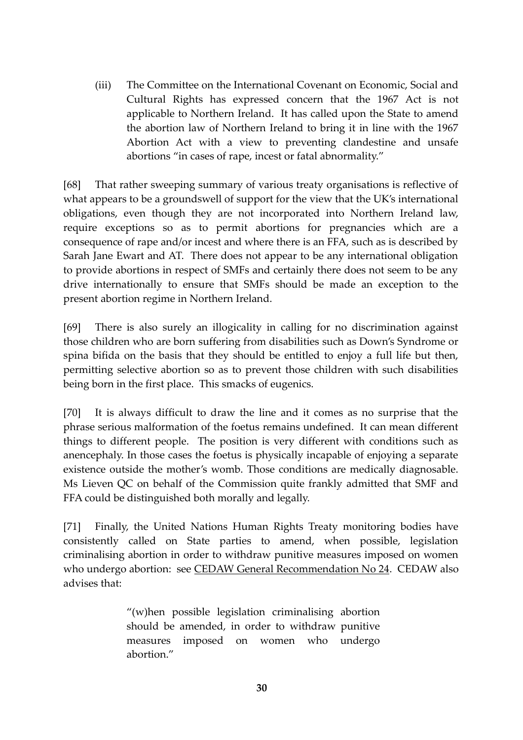(iii) The Committee on the International Covenant on Economic, Social and Cultural Rights has expressed concern that the 1967 Act is not applicable to Northern Ireland. It has called upon the State to amend the abortion law of Northern Ireland to bring it in line with the 1967 Abortion Act with a view to preventing clandestine and unsafe abortions "in cases of rape, incest or fatal abnormality."

[68] That rather sweeping summary of various treaty organisations is reflective of what appears to be a groundswell of support for the view that the UK's international obligations, even though they are not incorporated into Northern Ireland law, require exceptions so as to permit abortions for pregnancies which are a consequence of rape and/or incest and where there is an FFA, such as is described by Sarah Jane Ewart and AT. There does not appear to be any international obligation to provide abortions in respect of SMFs and certainly there does not seem to be any drive internationally to ensure that SMFs should be made an exception to the present abortion regime in Northern Ireland.

[69] There is also surely an illogicality in calling for no discrimination against those children who are born suffering from disabilities such as Down's Syndrome or spina bifida on the basis that they should be entitled to enjoy a full life but then, permitting selective abortion so as to prevent those children with such disabilities being born in the first place. This smacks of eugenics.

[70] It is always difficult to draw the line and it comes as no surprise that the phrase serious malformation of the foetus remains undefined. It can mean different things to different people. The position is very different with conditions such as anencephaly. In those cases the foetus is physically incapable of enjoying a separate existence outside the mother's womb. Those conditions are medically diagnosable. Ms Lieven QC on behalf of the Commission quite frankly admitted that SMF and FFA could be distinguished both morally and legally.

[71] Finally, the United Nations Human Rights Treaty monitoring bodies have consistently called on State parties to amend, when possible, legislation criminalising abortion in order to withdraw punitive measures imposed on women who undergo abortion: see CEDAW General Recommendation No 24. CEDAW also advises that:

> "(w)hen possible legislation criminalising abortion should be amended, in order to withdraw punitive measures imposed on women who undergo abortion."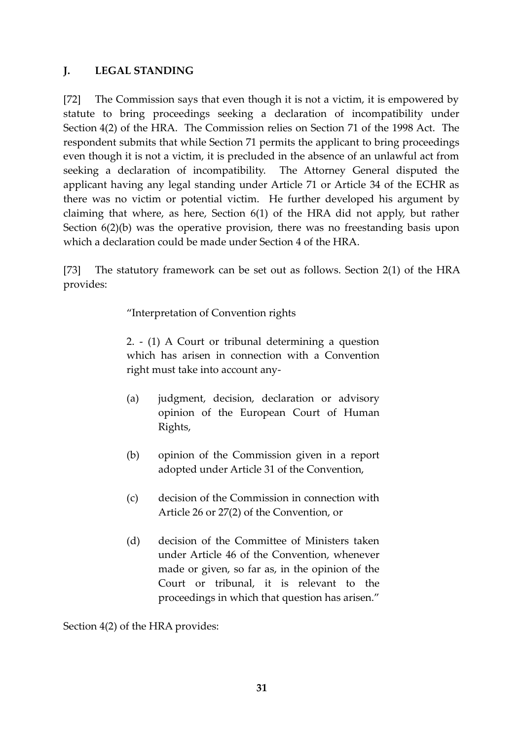## **J. LEGAL STANDING**

[72] The Commission says that even though it is not a victim, it is empowered by statute to bring proceedings seeking a declaration of incompatibility under Section 4(2) of the HRA. The Commission relies on Section 71 of the 1998 Act. The respondent submits that while Section 71 permits the applicant to bring proceedings even though it is not a victim, it is precluded in the absence of an unlawful act from seeking a declaration of incompatibility. The Attorney General disputed the applicant having any legal standing under Article 71 or Article 34 of the ECHR as there was no victim or potential victim. He further developed his argument by claiming that where, as here, Section 6(1) of the HRA did not apply, but rather Section 6(2)(b) was the operative provision, there was no freestanding basis upon which a declaration could be made under Section 4 of the HRA.

[73] The statutory framework can be set out as follows. Section 2(1) of the HRA provides:

"Interpretation of Convention rights

2. - (1) A Court or tribunal determining a question which has arisen in connection with a Convention right must take into account any-

- (a) judgment, decision, declaration or advisory opinion of the European Court of Human Rights,
- (b) opinion of the Commission given in a report adopted under Article 31 of the Convention,
- (c) decision of the Commission in connection with Article 26 or 27(2) of the Convention, or
- (d) decision of the Committee of Ministers taken under Article 46 of the Convention, whenever made or given, so far as, in the opinion of the Court or tribunal, it is relevant to the proceedings in which that question has arisen."

Section 4(2) of the HRA provides: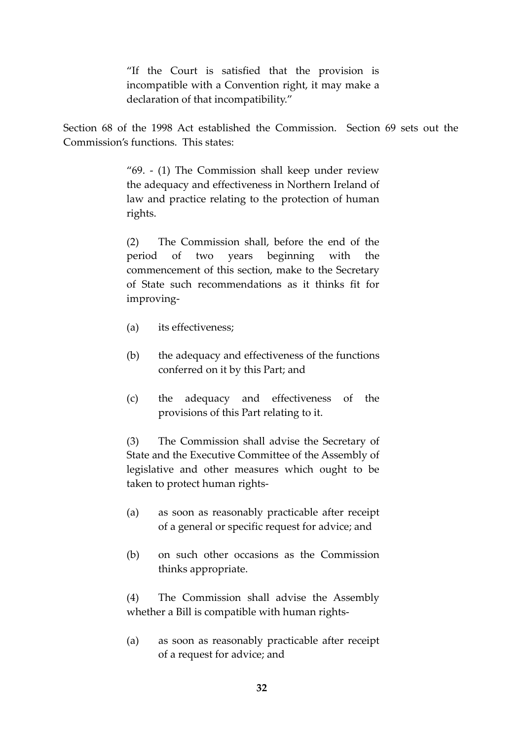"If the Court is satisfied that the provision is incompatible with a Convention right, it may make a declaration of that incompatibility."

Section 68 of the 1998 Act established the Commission. Section 69 sets out the Commission's functions. This states:

> "69. - (1) The Commission shall keep under review the adequacy and effectiveness in Northern Ireland of law and practice relating to the protection of human rights.

> (2) The Commission shall, before the end of the period of two years beginning with the commencement of this section, make to the Secretary of State such recommendations as it thinks fit for improving-

- (a) its effectiveness;
- (b) the adequacy and effectiveness of the functions conferred on it by this Part; and
- (c) the adequacy and effectiveness of the provisions of this Part relating to it.

(3) The Commission shall advise the Secretary of State and the Executive Committee of the Assembly of legislative and other measures which ought to be taken to protect human rights-

- (a) as soon as reasonably practicable after receipt of a general or specific request for advice; and
- (b) on such other occasions as the Commission thinks appropriate.

(4) The Commission shall advise the Assembly whether a Bill is compatible with human rights-

(a) as soon as reasonably practicable after receipt of a request for advice; and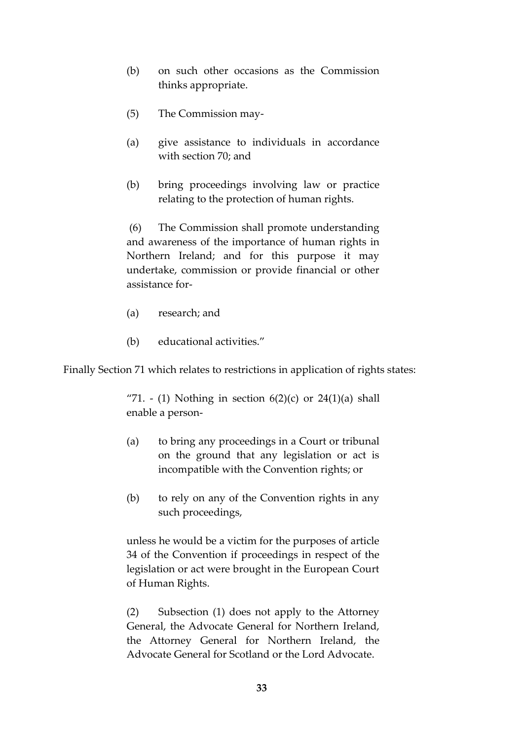- (b) on such other occasions as the Commission thinks appropriate.
- (5) The Commission may-
- (a) give assistance to individuals in accordance with section 70; and
- (b) bring proceedings involving law or practice relating to the protection of human rights.

 (6) The Commission shall promote understanding and awareness of the importance of human rights in Northern Ireland; and for this purpose it may undertake, commission or provide financial or other assistance for-

- (a) research; and
- (b) educational activities."

Finally Section 71 which relates to restrictions in application of rights states:

"71. - (1) Nothing in section  $6(2)(c)$  or  $24(1)(a)$  shall enable a person-

- (a) to bring any proceedings in a Court or tribunal on the ground that any legislation or act is incompatible with the Convention rights; or
- (b) to rely on any of the Convention rights in any such proceedings,

unless he would be a victim for the purposes of article 34 of the Convention if proceedings in respect of the legislation or act were brought in the European Court of Human Rights.

(2) Subsection (1) does not apply to the Attorney General, the Advocate General for Northern Ireland, the Attorney General for Northern Ireland, the Advocate General for Scotland or the Lord Advocate.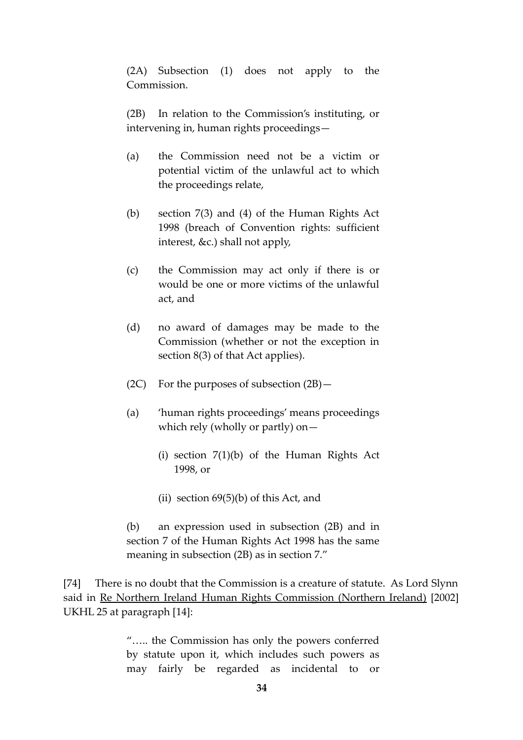(2A) Subsection (1) does not apply to the Commission.

(2B) In relation to the Commission's instituting, or intervening in, human rights proceedings—

- (a) the Commission need not be a victim or potential victim of the unlawful act to which the proceedings relate,
- (b) section 7(3) and (4) of the Human Rights Act 1998 (breach of Convention rights: sufficient interest, &c.) shall not apply,
- (c) the Commission may act only if there is or would be one or more victims of the unlawful act, and
- (d) no award of damages may be made to the Commission (whether or not the exception in section 8(3) of that Act applies).
- (2C) For the purposes of subsection  $(2B)$  -
- (a) 'human rights proceedings' means proceedings which rely (wholly or partly) on—
	- (i) section 7(1)(b) of the Human Rights Act 1998, or
	- (ii) section  $69(5)(b)$  of this Act, and

(b) an expression used in subsection (2B) and in section 7 of the Human Rights Act 1998 has the same meaning in subsection (2B) as in section 7."

[74] There is no doubt that the Commission is a creature of statute. As Lord Slynn said in Re Northern Ireland Human Rights Commission (Northern Ireland) [2002] UKHL 25 at paragraph [14]:

> "….. the Commission has only the powers conferred by statute upon it, which includes such powers as may fairly be regarded as incidental to or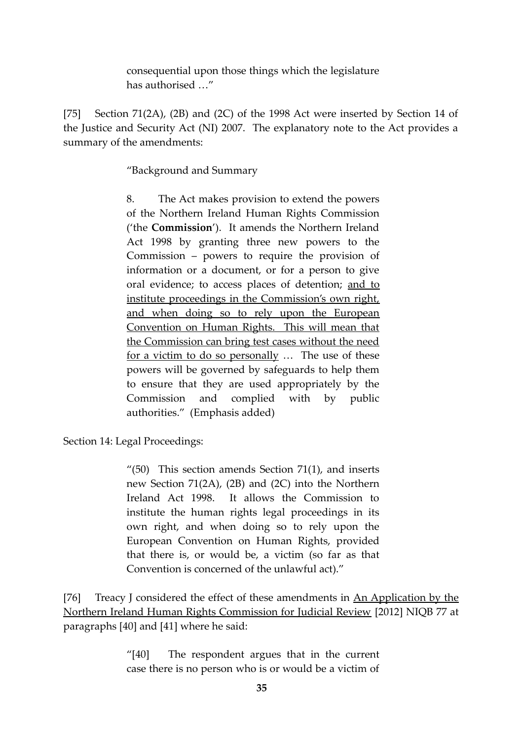consequential upon those things which the legislature has authorised …"

[75] Section 71(2A), (2B) and (2C) of the 1998 Act were inserted by Section 14 of the Justice and Security Act (NI) 2007. The explanatory note to the Act provides a summary of the amendments:

"Background and Summary

8. The Act makes provision to extend the powers of the Northern Ireland Human Rights Commission ('the **Commission**'). It amends the Northern Ireland Act 1998 by granting three new powers to the Commission – powers to require the provision of information or a document, or for a person to give oral evidence; to access places of detention; and to institute proceedings in the Commission's own right, and when doing so to rely upon the European Convention on Human Rights. This will mean that the Commission can bring test cases without the need for a victim to do so personally … The use of these powers will be governed by safeguards to help them to ensure that they are used appropriately by the Commission and complied with by public authorities." (Emphasis added)

Section 14: Legal Proceedings:

 $\frac{1}{10}$  This section amends Section 71(1), and inserts new Section 71(2A), (2B) and (2C) into the Northern Ireland Act 1998. It allows the Commission to institute the human rights legal proceedings in its own right, and when doing so to rely upon the European Convention on Human Rights, provided that there is, or would be, a victim (so far as that Convention is concerned of the unlawful act)."

[76] Treacy J considered the effect of these amendments in An Application by the Northern Ireland Human Rights Commission for Judicial Review [2012] NIQB 77 at paragraphs [40] and [41] where he said:

> "[40] The respondent argues that in the current case there is no person who is or would be a victim of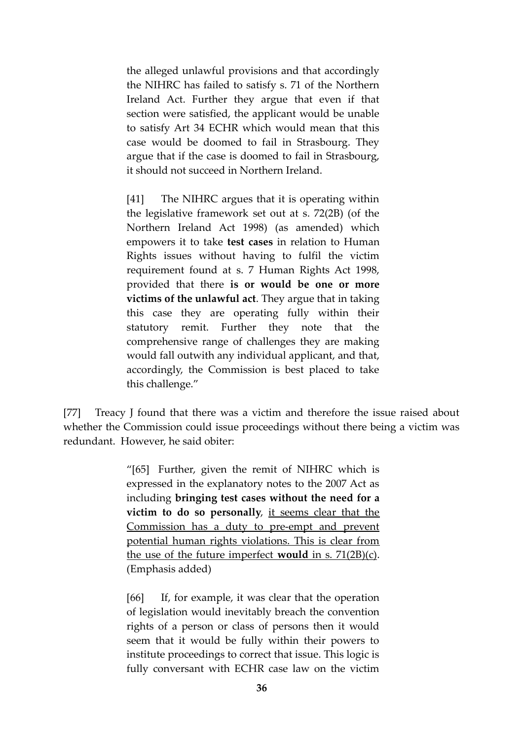the alleged unlawful provisions and that accordingly the NIHRC has failed to satisfy s. 71 of the Northern Ireland Act. Further they argue that even if that section were satisfied, the applicant would be unable to satisfy Art 34 ECHR which would mean that this case would be doomed to fail in Strasbourg. They argue that if the case is doomed to fail in Strasbourg, it should not succeed in Northern Ireland.

[41] The NIHRC argues that it is operating within the legislative framework set out at s. 72(2B) (of the Northern Ireland Act 1998) (as amended) which empowers it to take **test cases** in relation to Human Rights issues without having to fulfil the victim requirement found at s. 7 Human Rights Act 1998, provided that there **is or would be one or more victims of the unlawful act**. They argue that in taking this case they are operating fully within their statutory remit. Further they note that the comprehensive range of challenges they are making would fall outwith any individual applicant, and that, accordingly, the Commission is best placed to take this challenge."

[77] Treacy J found that there was a victim and therefore the issue raised about whether the Commission could issue proceedings without there being a victim was redundant. However, he said obiter:

> "[65] Further, given the remit of NIHRC which is expressed in the explanatory notes to the 2007 Act as including **bringing test cases without the need for a victim to do so personally**, it seems clear that the Commission has a duty to pre-empt and prevent potential human rights violations. This is clear from the use of the future imperfect **would** in s. 71(2B)(c). (Emphasis added)

> [66] If, for example, it was clear that the operation of legislation would inevitably breach the convention rights of a person or class of persons then it would seem that it would be fully within their powers to institute proceedings to correct that issue. This logic is fully conversant with ECHR case law on the victim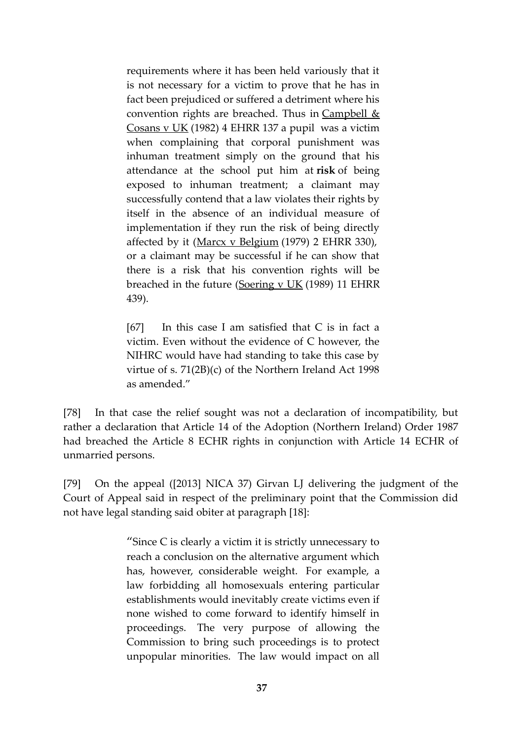requirements where it has been held variously that it is not necessary for a victim to prove that he has in fact been prejudiced or suffered a detriment where his convention rights are breached. Thus in Campbell  $&$ Cosans v UK (1982) 4 EHRR 137 a pupil was a victim when complaining that corporal punishment was inhuman treatment simply on the ground that his attendance at the school put him at **risk** of being exposed to inhuman treatment; a claimant may successfully contend that a law violates their rights by itself in the absence of an individual measure of implementation if they run the risk of being directly affected by it (Marcx v Belgium (1979) 2 EHRR 330), or a claimant may be successful if he can show that there is a risk that his convention rights will be breached in the future (Soering v UK (1989) 11 EHRR 439).

[67] In this case I am satisfied that C is in fact a victim. Even without the evidence of C however, the NIHRC would have had standing to take this case by virtue of s. 71(2B)(c) of the Northern Ireland Act 1998 as amended."

[78] In that case the relief sought was not a declaration of incompatibility, but rather a declaration that Article 14 of the Adoption (Northern Ireland) Order 1987 had breached the Article 8 ECHR rights in conjunction with Article 14 ECHR of unmarried persons.

[79] On the appeal ([2013] NICA 37) Girvan LJ delivering the judgment of the Court of Appeal said in respect of the preliminary point that the Commission did not have legal standing said obiter at paragraph [18]:

> "Since C is clearly a victim it is strictly unnecessary to reach a conclusion on the alternative argument which has, however, considerable weight. For example, a law forbidding all homosexuals entering particular establishments would inevitably create victims even if none wished to come forward to identify himself in proceedings. The very purpose of allowing the Commission to bring such proceedings is to protect unpopular minorities. The law would impact on all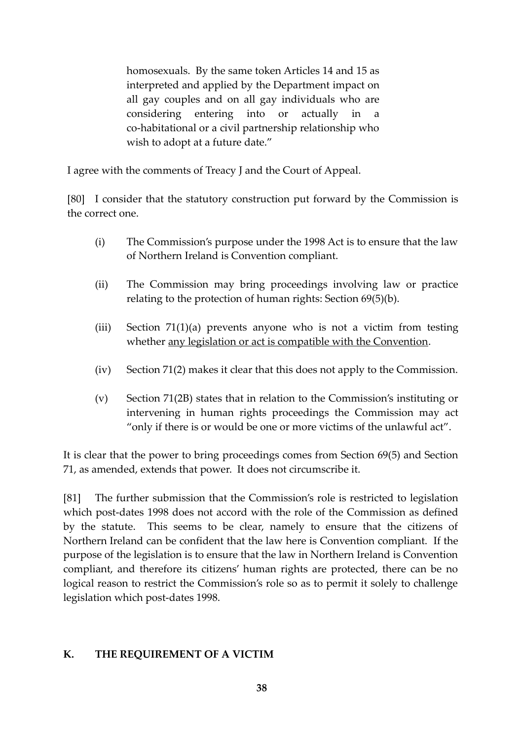homosexuals. By the same token Articles 14 and 15 as interpreted and applied by the Department impact on all gay couples and on all gay individuals who are considering entering into or actually in a co-habitational or a civil partnership relationship who wish to adopt at a future date."

I agree with the comments of Treacy J and the Court of Appeal.

[80] I consider that the statutory construction put forward by the Commission is the correct one.

- (i) The Commission's purpose under the 1998 Act is to ensure that the law of Northern Ireland is Convention compliant.
- (ii) The Commission may bring proceedings involving law or practice relating to the protection of human rights: Section 69(5)(b).
- (iii) Section 71(1)(a) prevents anyone who is not a victim from testing whether any legislation or act is compatible with the Convention.
- (iv) Section 71(2) makes it clear that this does not apply to the Commission.
- (v) Section 71(2B) states that in relation to the Commission's instituting or intervening in human rights proceedings the Commission may act "only if there is or would be one or more victims of the unlawful act".

It is clear that the power to bring proceedings comes from Section 69(5) and Section 71, as amended, extends that power. It does not circumscribe it.

[81] The further submission that the Commission's role is restricted to legislation which post-dates 1998 does not accord with the role of the Commission as defined by the statute. This seems to be clear, namely to ensure that the citizens of Northern Ireland can be confident that the law here is Convention compliant. If the purpose of the legislation is to ensure that the law in Northern Ireland is Convention compliant, and therefore its citizens' human rights are protected, there can be no logical reason to restrict the Commission's role so as to permit it solely to challenge legislation which post-dates 1998.

# **K. THE REQUIREMENT OF A VICTIM**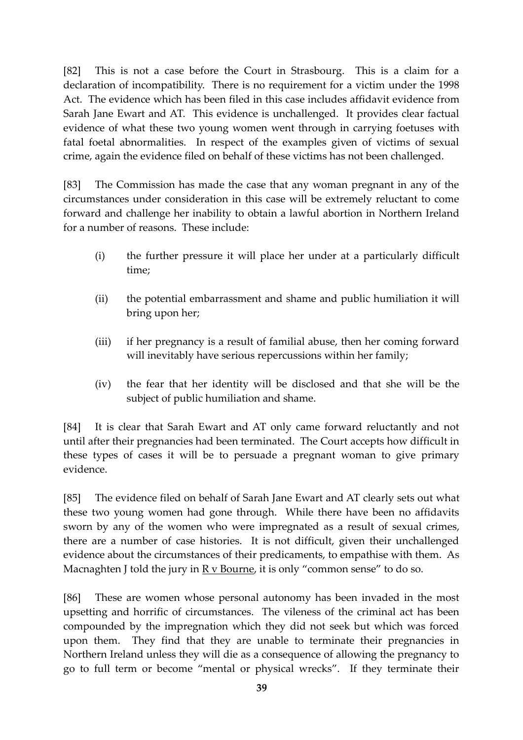[82] This is not a case before the Court in Strasbourg. This is a claim for a declaration of incompatibility. There is no requirement for a victim under the 1998 Act. The evidence which has been filed in this case includes affidavit evidence from Sarah Jane Ewart and AT. This evidence is unchallenged. It provides clear factual evidence of what these two young women went through in carrying foetuses with fatal foetal abnormalities. In respect of the examples given of victims of sexual crime, again the evidence filed on behalf of these victims has not been challenged.

[83] The Commission has made the case that any woman pregnant in any of the circumstances under consideration in this case will be extremely reluctant to come forward and challenge her inability to obtain a lawful abortion in Northern Ireland for a number of reasons. These include:

- (i) the further pressure it will place her under at a particularly difficult time;
- (ii) the potential embarrassment and shame and public humiliation it will bring upon her;
- (iii) if her pregnancy is a result of familial abuse, then her coming forward will inevitably have serious repercussions within her family;
- (iv) the fear that her identity will be disclosed and that she will be the subject of public humiliation and shame.

[84] It is clear that Sarah Ewart and AT only came forward reluctantly and not until after their pregnancies had been terminated. The Court accepts how difficult in these types of cases it will be to persuade a pregnant woman to give primary evidence.

[85] The evidence filed on behalf of Sarah Jane Ewart and AT clearly sets out what these two young women had gone through. While there have been no affidavits sworn by any of the women who were impregnated as a result of sexual crimes, there are a number of case histories. It is not difficult, given their unchallenged evidence about the circumstances of their predicaments, to empathise with them. As Macnaghten J told the jury in  $R v$  Bourne, it is only "common sense" to do so.

[86] These are women whose personal autonomy has been invaded in the most upsetting and horrific of circumstances. The vileness of the criminal act has been compounded by the impregnation which they did not seek but which was forced upon them. They find that they are unable to terminate their pregnancies in Northern Ireland unless they will die as a consequence of allowing the pregnancy to go to full term or become "mental or physical wrecks". If they terminate their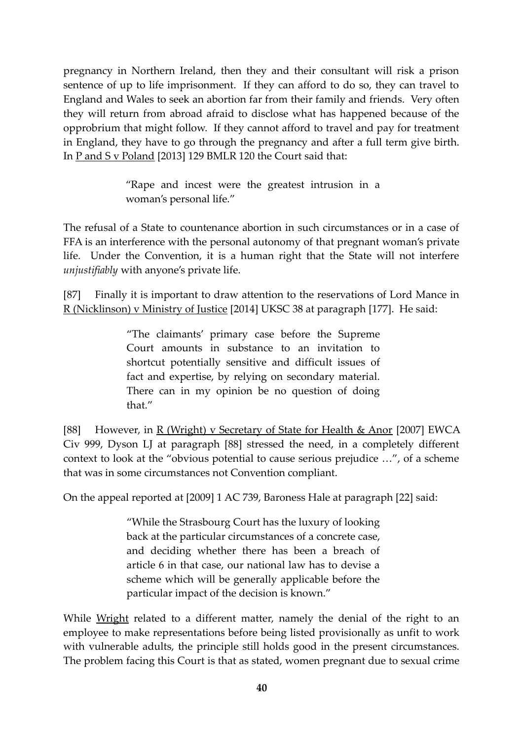pregnancy in Northern Ireland, then they and their consultant will risk a prison sentence of up to life imprisonment. If they can afford to do so, they can travel to England and Wales to seek an abortion far from their family and friends. Very often they will return from abroad afraid to disclose what has happened because of the opprobrium that might follow. If they cannot afford to travel and pay for treatment in England, they have to go through the pregnancy and after a full term give birth. In <u>P and S v Poland</u> [2013] 129 BMLR 120 the Court said that:

> "Rape and incest were the greatest intrusion in a woman's personal life."

The refusal of a State to countenance abortion in such circumstances or in a case of FFA is an interference with the personal autonomy of that pregnant woman's private life. Under the Convention, it is a human right that the State will not interfere *unjustifiably* with anyone's private life.

[87] Finally it is important to draw attention to the reservations of Lord Mance in R (Nicklinson) v Ministry of Justice [2014] UKSC 38 at paragraph [177]. He said:

> "The claimants' primary case before the Supreme Court amounts in substance to an invitation to shortcut potentially sensitive and difficult issues of fact and expertise, by relying on secondary material. There can in my opinion be no question of doing that."

[88] However, in R (Wright) v Secretary of State for Health & Anor [2007] EWCA Civ 999, Dyson LJ at paragraph [88] stressed the need, in a completely different context to look at the "obvious potential to cause serious prejudice …", of a scheme that was in some circumstances not Convention compliant.

On the appeal reported at [2009] 1 AC 739, Baroness Hale at paragraph [22] said:

"While the Strasbourg Court has the luxury of looking back at the particular circumstances of a concrete case, and deciding whether there has been a breach of article 6 in that case, our national law has to devise a scheme which will be generally applicable before the particular impact of the decision is known."

While Wright related to a different matter, namely the denial of the right to an employee to make representations before being listed provisionally as unfit to work with vulnerable adults, the principle still holds good in the present circumstances. The problem facing this Court is that as stated, women pregnant due to sexual crime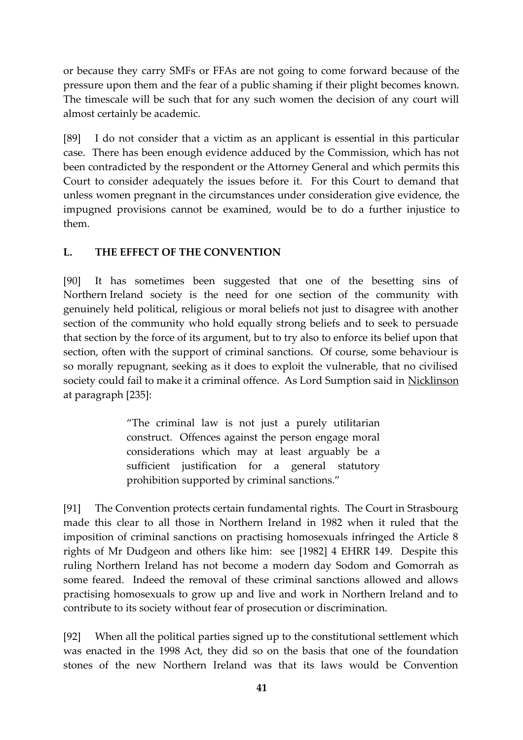or because they carry SMFs or FFAs are not going to come forward because of the pressure upon them and the fear of a public shaming if their plight becomes known. The timescale will be such that for any such women the decision of any court will almost certainly be academic.

[89] I do not consider that a victim as an applicant is essential in this particular case. There has been enough evidence adduced by the Commission, which has not been contradicted by the respondent or the Attorney General and which permits this Court to consider adequately the issues before it. For this Court to demand that unless women pregnant in the circumstances under consideration give evidence, the impugned provisions cannot be examined, would be to do a further injustice to them.

## **L. THE EFFECT OF THE CONVENTION**

[90] It has sometimes been suggested that one of the besetting sins of Northern Ireland society is the need for one section of the community with genuinely held political, religious or moral beliefs not just to disagree with another section of the community who hold equally strong beliefs and to seek to persuade that section by the force of its argument, but to try also to enforce its belief upon that section, often with the support of criminal sanctions. Of course, some behaviour is so morally repugnant, seeking as it does to exploit the vulnerable, that no civilised society could fail to make it a criminal offence. As Lord Sumption said in Nicklinson at paragraph [235]:

> "The criminal law is not just a purely utilitarian construct. Offences against the person engage moral considerations which may at least arguably be a sufficient justification for a general statutory prohibition supported by criminal sanctions."

[91] The Convention protects certain fundamental rights. The Court in Strasbourg made this clear to all those in Northern Ireland in 1982 when it ruled that the imposition of criminal sanctions on practising homosexuals infringed the Article 8 rights of Mr Dudgeon and others like him: see [1982] 4 EHRR 149. Despite this ruling Northern Ireland has not become a modern day Sodom and Gomorrah as some feared. Indeed the removal of these criminal sanctions allowed and allows practising homosexuals to grow up and live and work in Northern Ireland and to contribute to its society without fear of prosecution or discrimination.

[92] When all the political parties signed up to the constitutional settlement which was enacted in the 1998 Act, they did so on the basis that one of the foundation stones of the new Northern Ireland was that its laws would be Convention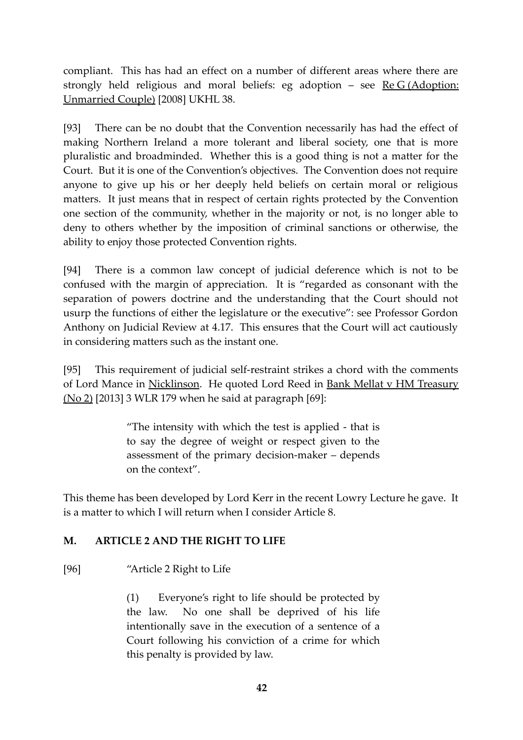compliant. This has had an effect on a number of different areas where there are strongly held religious and moral beliefs: eg adoption – see Re G (Adoption: Unmarried Couple) [2008] UKHL 38.

[93] There can be no doubt that the Convention necessarily has had the effect of making Northern Ireland a more tolerant and liberal society, one that is more pluralistic and broadminded. Whether this is a good thing is not a matter for the Court. But it is one of the Convention's objectives. The Convention does not require anyone to give up his or her deeply held beliefs on certain moral or religious matters. It just means that in respect of certain rights protected by the Convention one section of the community, whether in the majority or not, is no longer able to deny to others whether by the imposition of criminal sanctions or otherwise, the ability to enjoy those protected Convention rights.

[94] There is a common law concept of judicial deference which is not to be confused with the margin of appreciation. It is "regarded as consonant with the separation of powers doctrine and the understanding that the Court should not usurp the functions of either the legislature or the executive": see Professor Gordon Anthony on Judicial Review at 4.17. This ensures that the Court will act cautiously in considering matters such as the instant one.

[95] This requirement of judicial self-restraint strikes a chord with the comments of Lord Mance in Nicklinson. He quoted Lord Reed in Bank Mellat v HM Treasury (No 2) [2013] 3 WLR 179 when he said at paragraph [69]:

> "The intensity with which the test is applied - that is to say the degree of weight or respect given to the assessment of the primary decision-maker – depends on the context".

This theme has been developed by Lord Kerr in the recent Lowry Lecture he gave. It is a matter to which I will return when I consider Article 8.

## **M. ARTICLE 2 AND THE RIGHT TO LIFE**

[96] "Article 2 Right to Life

(1) Everyone's right to life should be protected by the law. No one shall be deprived of his life intentionally save in the execution of a sentence of a Court following his conviction of a crime for which this penalty is provided by law.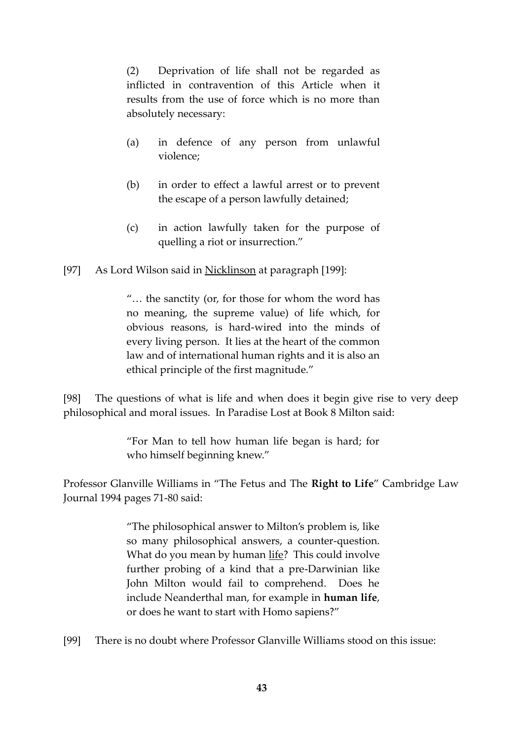(2) Deprivation of life shall not be regarded as inflicted in contravention of this Article when it results from the use of force which is no more than absolutely necessary:

- (a) in defence of any person from unlawful violence;
- (b) in order to effect a lawful arrest or to prevent the escape of a person lawfully detained;
- (c) in action lawfully taken for the purpose of quelling a riot or insurrection."

[97] As Lord Wilson said in Nicklinson at paragraph [199]:

"… the sanctity (or, for those for whom the word has no meaning, the supreme value) of life which, for obvious reasons, is hard-wired into the minds of every living person. It lies at the heart of the common law and of international human rights and it is also an ethical principle of the first magnitude."

[98] The questions of what is life and when does it begin give rise to very deep philosophical and moral issues. In Paradise Lost at Book 8 Milton said:

> "For Man to tell how human life began is hard; for who himself beginning knew."

Professor Glanville Williams in "The Fetus and The **Right to Life**" Cambridge Law Journal 1994 pages 71-80 said:

> "The philosophical answer to Milton's problem is, like so many philosophical answers, a counter-question. What do you mean by human life? This could involve further probing of a kind that a pre-Darwinian like John Milton would fail to comprehend. Does he include Neanderthal man, for example in **human life**, or does he want to start with Homo sapiens?"

[99] There is no doubt where Professor Glanville Williams stood on this issue: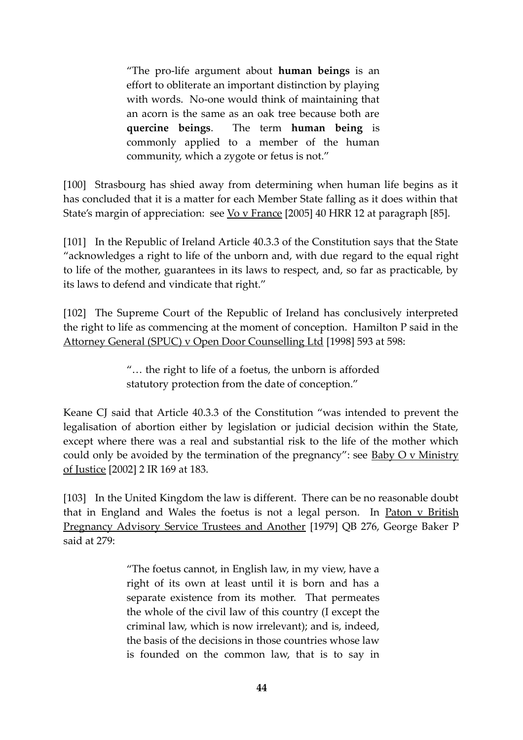"The pro-life argument about **human beings** is an effort to obliterate an important distinction by playing with words. No-one would think of maintaining that an acorn is the same as an oak tree because both are **quercine beings**. The term **human being** is commonly applied to a member of the human community, which a zygote or fetus is not."

[100] Strasbourg has shied away from determining when human life begins as it has concluded that it is a matter for each Member State falling as it does within that State's margin of appreciation: see Vo v France [2005] 40 HRR 12 at paragraph [85].

[101] In the Republic of Ireland Article 40.3.3 of the Constitution says that the State "acknowledges a right to life of the unborn and, with due regard to the equal right to life of the mother, guarantees in its laws to respect, and, so far as practicable, by its laws to defend and vindicate that right."

[102] The Supreme Court of the Republic of Ireland has conclusively interpreted the right to life as commencing at the moment of conception. Hamilton P said in the Attorney General (SPUC) v Open Door Counselling Ltd [1998] 593 at 598:

> "… the right to life of a foetus, the unborn is afforded statutory protection from the date of conception."

Keane CJ said that Article 40.3.3 of the Constitution "was intended to prevent the legalisation of abortion either by legislation or judicial decision within the State, except where there was a real and substantial risk to the life of the mother which could only be avoided by the termination of the pregnancy": see  $\underline{Baby\ O\ v\ Ministry}$ of Justice [2002] 2 IR 169 at 183.

[103] In the United Kingdom the law is different. There can be no reasonable doubt that in England and Wales the foetus is not a legal person. In Paton v British Pregnancy Advisory Service Trustees and Another [1979] QB 276, George Baker P said at  $279$ 

> "The foetus cannot, in English law, in my view, have a right of its own at least until it is born and has a separate existence from its mother. That permeates the whole of the civil law of this country (I except the criminal law, which is now irrelevant); and is, indeed, the basis of the decisions in those countries whose law is founded on the common law, that is to say in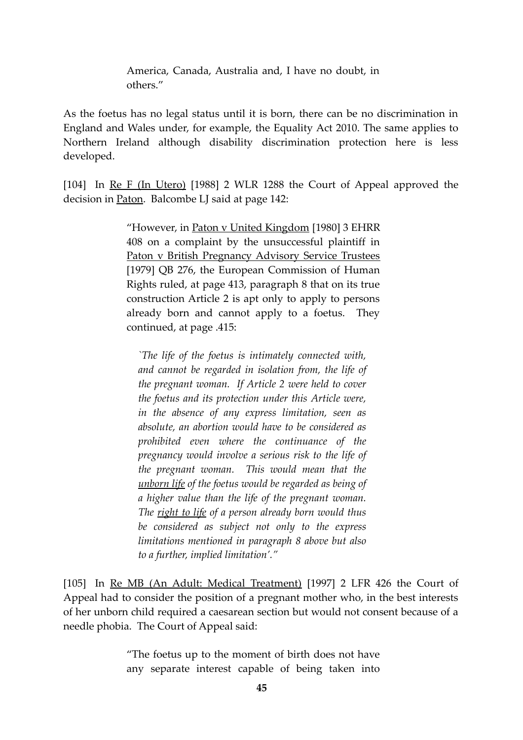America, Canada, Australia and, I have no doubt, in others."

As the foetus has no legal status until it is born, there can be no discrimination in England and Wales under, for example, the Equality Act 2010. The same applies to Northern Ireland although disability discrimination protection here is less developed.

[104] In Re F (In Utero) [1988] 2 WLR 1288 the Court of Appeal approved the decision in Paton. Balcombe LJ said at page 142:

> "However, in Paton v United Kingdom [1980] 3 EHRR 408 on a complaint by the unsuccessful plaintiff in Paton v British Pregnancy Advisory Service Trustees [1979] QB 276, the European Commission of Human Rights ruled, at page 413, paragraph 8 that on its true construction Article 2 is apt only to apply to persons already born and cannot apply to a foetus. They continued, at page .415:

*`The life of the foetus is intimately connected with, and cannot be regarded in isolation from, the life of the pregnant woman. If Article 2 were held to cover the foetus and its protection under this Article were, in the absence of any express limitation, seen as absolute, an abortion would have to be considered as prohibited even where the continuance of the pregnancy would involve a serious risk to the life of the pregnant woman. This would mean that the unborn life of the foetus would be regarded as being of a higher value than the life of the pregnant woman. The right to life of a person already born would thus be considered as subject not only to the express limitations mentioned in paragraph 8 above but also to a further, implied limitation'."*

[105] In Re MB (An Adult: Medical Treatment) [1997] 2 LFR 426 the Court of Appeal had to consider the position of a pregnant mother who, in the best interests of her unborn child required a caesarean section but would not consent because of a needle phobia. The Court of Appeal said:

> "The foetus up to the moment of birth does not have any separate interest capable of being taken into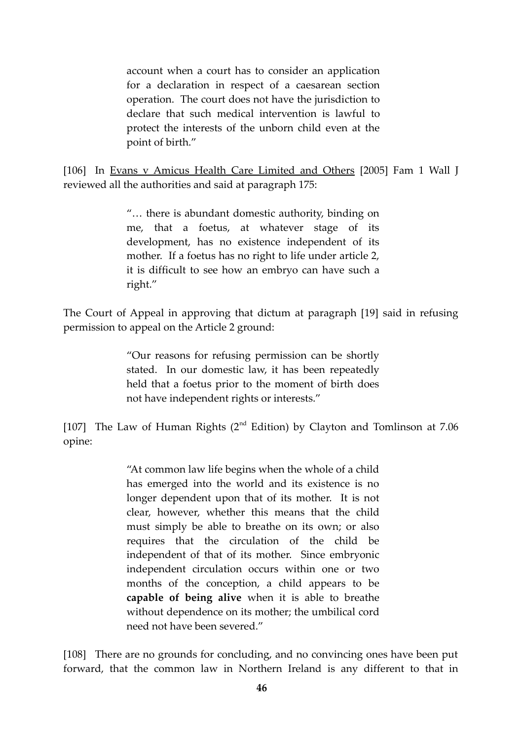account when a court has to consider an application for a declaration in respect of a caesarean section operation. The court does not have the jurisdiction to declare that such medical intervention is lawful to protect the interests of the unborn child even at the point of birth."

[106] In Evans v Amicus Health Care Limited and Others [2005] Fam 1 Wall J reviewed all the authorities and said at paragraph 175:

> "… there is abundant domestic authority, binding on me, that a foetus, at whatever stage of its development, has no existence independent of its mother. If a foetus has no right to life under article 2, it is difficult to see how an embryo can have such a right."

The Court of Appeal in approving that dictum at paragraph [19] said in refusing permission to appeal on the Article 2 ground:

> "Our reasons for refusing permission can be shortly stated. In our domestic law, it has been repeatedly held that a foetus prior to the moment of birth does not have independent rights or interests."

[107] The Law of Human Rights ( $2<sup>nd</sup>$  Edition) by Clayton and Tomlinson at 7.06 opine:

> "At common law life begins when the whole of a child has emerged into the world and its existence is no longer dependent upon that of its mother. It is not clear, however, whether this means that the child must simply be able to breathe on its own; or also requires that the circulation of the child be independent of that of its mother. Since embryonic independent circulation occurs within one or two months of the conception, a child appears to be **capable of being alive** when it is able to breathe without dependence on its mother; the umbilical cord need not have been severed."

[108] There are no grounds for concluding, and no convincing ones have been put forward, that the common law in Northern Ireland is any different to that in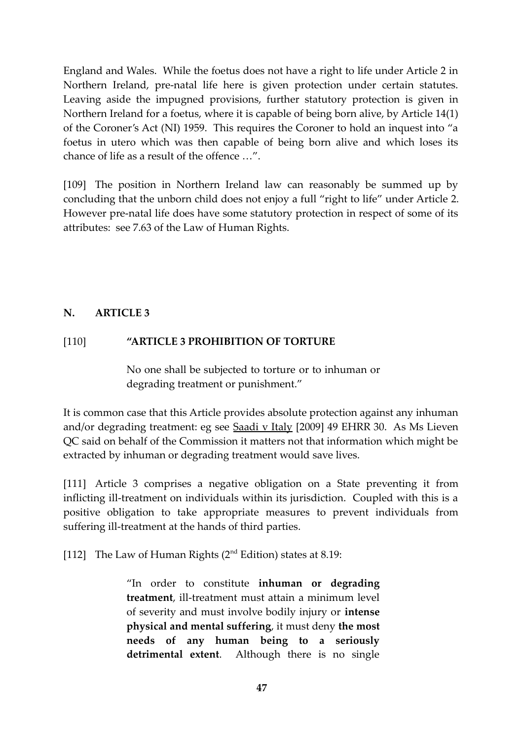England and Wales. While the foetus does not have a right to life under Article 2 in Northern Ireland, pre-natal life here is given protection under certain statutes. Leaving aside the impugned provisions, further statutory protection is given in Northern Ireland for a foetus, where it is capable of being born alive, by Article 14(1) of the Coroner's Act (NI) 1959. This requires the Coroner to hold an inquest into "a foetus in utero which was then capable of being born alive and which loses its chance of life as a result of the offence …".

[109] The position in Northern Ireland law can reasonably be summed up by concluding that the unborn child does not enjoy a full "right to life" under Article 2. However pre-natal life does have some statutory protection in respect of some of its attributes: see 7.63 of the Law of Human Rights.

#### **N. ARTICLE 3**

#### [110] **"ARTICLE 3 PROHIBITION OF TORTURE**

No one shall be subjected to torture or to inhuman or degrading treatment or punishment."

It is common case that this Article provides absolute protection against any inhuman and/or degrading treatment: eg see Saadi v Italy [2009] 49 EHRR 30. As Ms Lieven QC said on behalf of the Commission it matters not that information which might be extracted by inhuman or degrading treatment would save lives.

[111] Article 3 comprises a negative obligation on a State preventing it from inflicting ill-treatment on individuals within its jurisdiction. Coupled with this is a positive obligation to take appropriate measures to prevent individuals from suffering ill-treatment at the hands of third parties.

[112] The Law of Human Rights  $(2<sup>nd</sup> Edition)$  states at 8.19:

"In order to constitute **inhuman or degrading treatment**, ill-treatment must attain a minimum level of severity and must involve bodily injury or **intense physical and mental suffering**, it must deny **the most needs of any human being to a seriously detrimental extent**. Although there is no single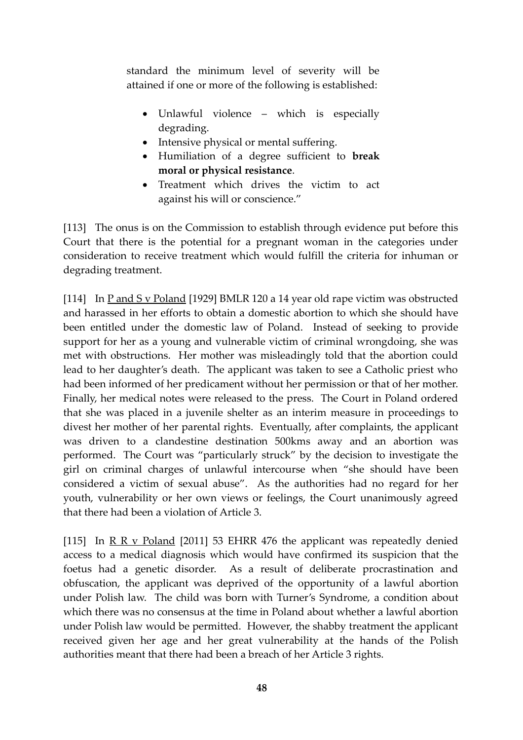standard the minimum level of severity will be attained if one or more of the following is established:

- Unlawful violence which is especially degrading.
- Intensive physical or mental suffering.
- Humiliation of a degree sufficient to **break moral or physical resistance**.
- Treatment which drives the victim to act against his will or conscience."

[113] The onus is on the Commission to establish through evidence put before this Court that there is the potential for a pregnant woman in the categories under consideration to receive treatment which would fulfill the criteria for inhuman or degrading treatment.

[114] In  $P$  and  $S$  v Poland [1929] BMLR 120 a 14 year old rape victim was obstructed and harassed in her efforts to obtain a domestic abortion to which she should have been entitled under the domestic law of Poland. Instead of seeking to provide support for her as a young and vulnerable victim of criminal wrongdoing, she was met with obstructions. Her mother was misleadingly told that the abortion could lead to her daughter's death. The applicant was taken to see a Catholic priest who had been informed of her predicament without her permission or that of her mother. Finally, her medical notes were released to the press. The Court in Poland ordered that she was placed in a juvenile shelter as an interim measure in proceedings to divest her mother of her parental rights. Eventually, after complaints, the applicant was driven to a clandestine destination 500kms away and an abortion was performed. The Court was "particularly struck" by the decision to investigate the girl on criminal charges of unlawful intercourse when "she should have been considered a victim of sexual abuse". As the authorities had no regard for her youth, vulnerability or her own views or feelings, the Court unanimously agreed that there had been a violation of Article 3.

[115] In <u>R R v Poland</u> [2011] 53 EHRR 476 the applicant was repeatedly denied access to a medical diagnosis which would have confirmed its suspicion that the foetus had a genetic disorder. As a result of deliberate procrastination and obfuscation, the applicant was deprived of the opportunity of a lawful abortion under Polish law. The child was born with Turner's Syndrome, a condition about which there was no consensus at the time in Poland about whether a lawful abortion under Polish law would be permitted. However, the shabby treatment the applicant received given her age and her great vulnerability at the hands of the Polish authorities meant that there had been a breach of her Article 3 rights.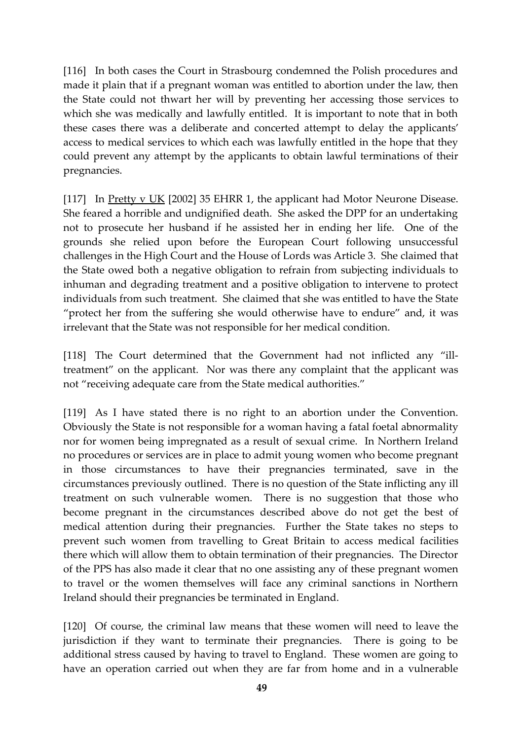[116] In both cases the Court in Strasbourg condemned the Polish procedures and made it plain that if a pregnant woman was entitled to abortion under the law, then the State could not thwart her will by preventing her accessing those services to which she was medically and lawfully entitled. It is important to note that in both these cases there was a deliberate and concerted attempt to delay the applicants' access to medical services to which each was lawfully entitled in the hope that they could prevent any attempt by the applicants to obtain lawful terminations of their pregnancies.

[117] In Pretty v UK [2002] 35 EHRR 1, the applicant had Motor Neurone Disease. She feared a horrible and undignified death. She asked the DPP for an undertaking not to prosecute her husband if he assisted her in ending her life. One of the grounds she relied upon before the European Court following unsuccessful challenges in the High Court and the House of Lords was Article 3. She claimed that the State owed both a negative obligation to refrain from subjecting individuals to inhuman and degrading treatment and a positive obligation to intervene to protect individuals from such treatment. She claimed that she was entitled to have the State "protect her from the suffering she would otherwise have to endure" and, it was irrelevant that the State was not responsible for her medical condition.

[118] The Court determined that the Government had not inflicted any "illtreatment" on the applicant. Nor was there any complaint that the applicant was not "receiving adequate care from the State medical authorities."

[119] As I have stated there is no right to an abortion under the Convention. Obviously the State is not responsible for a woman having a fatal foetal abnormality nor for women being impregnated as a result of sexual crime. In Northern Ireland no procedures or services are in place to admit young women who become pregnant in those circumstances to have their pregnancies terminated, save in the circumstances previously outlined. There is no question of the State inflicting any ill treatment on such vulnerable women. There is no suggestion that those who become pregnant in the circumstances described above do not get the best of medical attention during their pregnancies. Further the State takes no steps to prevent such women from travelling to Great Britain to access medical facilities there which will allow them to obtain termination of their pregnancies. The Director of the PPS has also made it clear that no one assisting any of these pregnant women to travel or the women themselves will face any criminal sanctions in Northern Ireland should their pregnancies be terminated in England.

[120] Of course, the criminal law means that these women will need to leave the jurisdiction if they want to terminate their pregnancies. There is going to be additional stress caused by having to travel to England. These women are going to have an operation carried out when they are far from home and in a vulnerable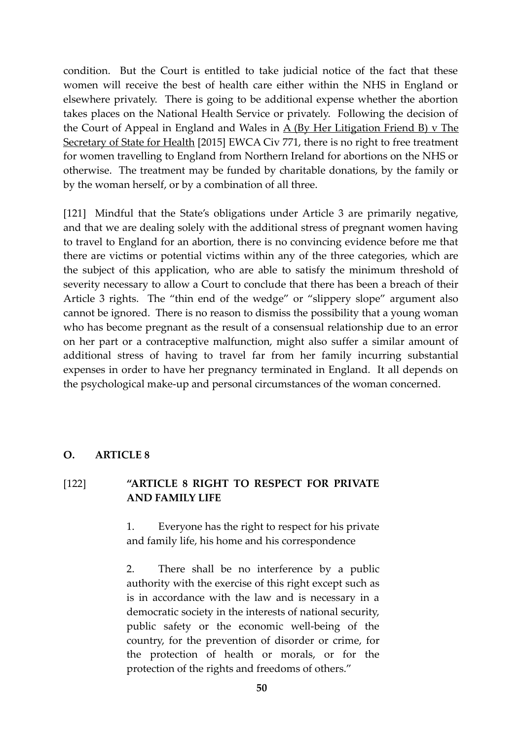condition. But the Court is entitled to take judicial notice of the fact that these women will receive the best of health care either within the NHS in England or elsewhere privately. There is going to be additional expense whether the abortion takes places on the National Health Service or privately. Following the decision of the Court of Appeal in England and Wales in  $\overline{A}$  (By Her Litigation Friend B) v The Secretary of State for Health [2015] EWCA Civ 771, there is no right to free treatment for women travelling to England from Northern Ireland for abortions on the NHS or otherwise. The treatment may be funded by charitable donations, by the family or by the woman herself, or by a combination of all three.

[121] Mindful that the State's obligations under Article 3 are primarily negative, and that we are dealing solely with the additional stress of pregnant women having to travel to England for an abortion, there is no convincing evidence before me that there are victims or potential victims within any of the three categories, which are the subject of this application, who are able to satisfy the minimum threshold of severity necessary to allow a Court to conclude that there has been a breach of their Article 3 rights. The "thin end of the wedge" or "slippery slope" argument also cannot be ignored. There is no reason to dismiss the possibility that a young woman who has become pregnant as the result of a consensual relationship due to an error on her part or a contraceptive malfunction, might also suffer a similar amount of additional stress of having to travel far from her family incurring substantial expenses in order to have her pregnancy terminated in England. It all depends on the psychological make-up and personal circumstances of the woman concerned.

#### **O. ARTICLE 8**

## [122] **"ARTICLE 8 RIGHT TO RESPECT FOR PRIVATE AND FAMILY LIFE**

1. Everyone has the right to respect for his private and family life, his home and his correspondence

2. There shall be no interference by a public authority with the exercise of this right except such as is in accordance with the law and is necessary in a democratic society in the interests of national security, public safety or the economic well-being of the country, for the prevention of disorder or crime, for the protection of health or morals, or for the protection of the rights and freedoms of others."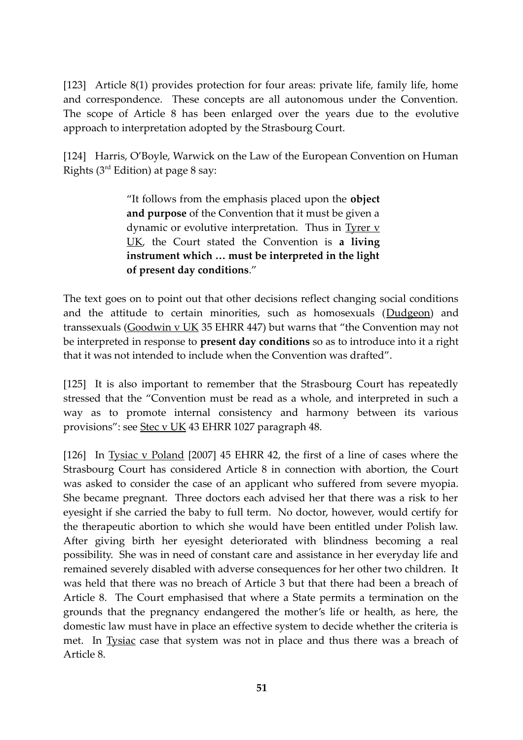[123] Article 8(1) provides protection for four areas: private life, family life, home and correspondence. These concepts are all autonomous under the Convention. The scope of Article 8 has been enlarged over the years due to the evolutive approach to interpretation adopted by the Strasbourg Court.

[124] Harris, O'Boyle, Warwick on the Law of the European Convention on Human Rights ( $3<sup>rd</sup>$  Edition) at page 8 say:

> "It follows from the emphasis placed upon the **object and purpose** of the Convention that it must be given a dynamic or evolutive interpretation. Thus in  $Tyrer y$ UK, the Court stated the Convention is **a living instrument which … must be interpreted in the light of present day conditions**."

The text goes on to point out that other decisions reflect changing social conditions and the attitude to certain minorities, such as homosexuals (Dudgeon) and transsexuals (Goodwin v UK 35 EHRR 447) but warns that "the Convention may not be interpreted in response to **present day conditions** so as to introduce into it a right that it was not intended to include when the Convention was drafted".

[125] It is also important to remember that the Strasbourg Court has repeatedly stressed that the "Convention must be read as a whole, and interpreted in such a way as to promote internal consistency and harmony between its various provisions": see Stec v UK 43 EHRR 1027 paragraph 48.

[126] In Tysiac v Poland [2007] 45 EHRR 42, the first of a line of cases where the Strasbourg Court has considered Article 8 in connection with abortion, the Court was asked to consider the case of an applicant who suffered from severe myopia. She became pregnant. Three doctors each advised her that there was a risk to her eyesight if she carried the baby to full term. No doctor, however, would certify for the therapeutic abortion to which she would have been entitled under Polish law. After giving birth her eyesight deteriorated with blindness becoming a real possibility. She was in need of constant care and assistance in her everyday life and remained severely disabled with adverse consequences for her other two children. It was held that there was no breach of Article 3 but that there had been a breach of Article 8. The Court emphasised that where a State permits a termination on the grounds that the pregnancy endangered the mother's life or health, as here, the domestic law must have in place an effective system to decide whether the criteria is met. In Tysiac case that system was not in place and thus there was a breach of Article 8.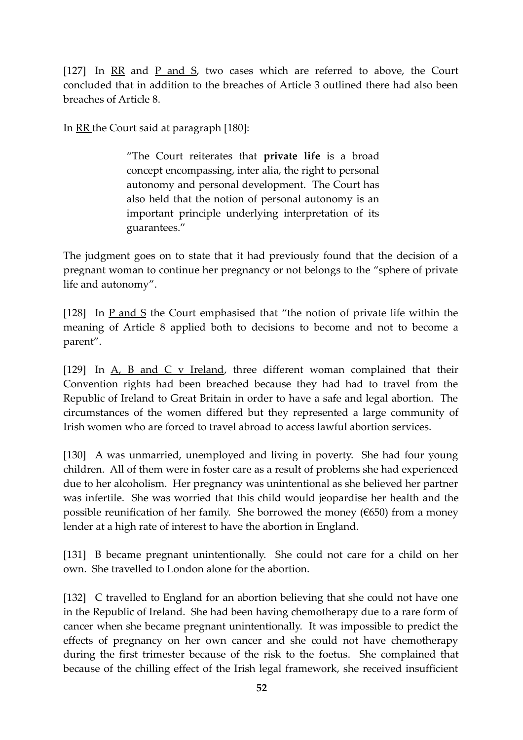[127] In RR and P and S, two cases which are referred to above, the Court concluded that in addition to the breaches of Article 3 outlined there had also been breaches of Article 8.

In RR the Court said at paragraph [180]:

"The Court reiterates that **private life** is a broad concept encompassing, inter alia, the right to personal autonomy and personal development. The Court has also held that the notion of personal autonomy is an important principle underlying interpretation of its guarantees."

The judgment goes on to state that it had previously found that the decision of a pregnant woman to continue her pregnancy or not belongs to the "sphere of private life and autonomy".

[128] In  $\underline{P}$  and  $\underline{S}$  the Court emphasised that "the notion of private life within the meaning of Article 8 applied both to decisions to become and not to become a parent".

[129] In  $A$ ,  $B$  and  $C$  v Ireland, three different woman complained that their Convention rights had been breached because they had had to travel from the Republic of Ireland to Great Britain in order to have a safe and legal abortion. The circumstances of the women differed but they represented a large community of Irish women who are forced to travel abroad to access lawful abortion services.

[130] A was unmarried, unemployed and living in poverty. She had four young children. All of them were in foster care as a result of problems she had experienced due to her alcoholism. Her pregnancy was unintentional as she believed her partner was infertile. She was worried that this child would jeopardise her health and the possible reunification of her family. She borrowed the money ( $\epsilon$ 650) from a money lender at a high rate of interest to have the abortion in England.

[131] B became pregnant unintentionally. She could not care for a child on her own. She travelled to London alone for the abortion.

[132] C travelled to England for an abortion believing that she could not have one in the Republic of Ireland. She had been having chemotherapy due to a rare form of cancer when she became pregnant unintentionally. It was impossible to predict the effects of pregnancy on her own cancer and she could not have chemotherapy during the first trimester because of the risk to the foetus. She complained that because of the chilling effect of the Irish legal framework, she received insufficient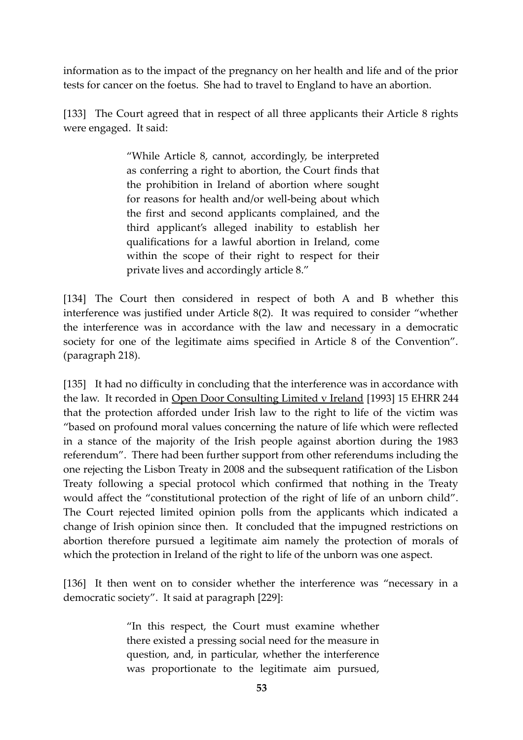information as to the impact of the pregnancy on her health and life and of the prior tests for cancer on the foetus. She had to travel to England to have an abortion.

[133] The Court agreed that in respect of all three applicants their Article 8 rights were engaged. It said:

> "While Article 8, cannot, accordingly, be interpreted as conferring a right to abortion, the Court finds that the prohibition in Ireland of abortion where sought for reasons for health and/or well-being about which the first and second applicants complained, and the third applicant's alleged inability to establish her qualifications for a lawful abortion in Ireland, come within the scope of their right to respect for their private lives and accordingly article 8."

[134] The Court then considered in respect of both A and B whether this interference was justified under Article 8(2). It was required to consider "whether the interference was in accordance with the law and necessary in a democratic society for one of the legitimate aims specified in Article 8 of the Convention". (paragraph 218).

[135] It had no difficulty in concluding that the interference was in accordance with the law. It recorded in Open Door Consulting Limited v Ireland [1993] 15 EHRR 244 that the protection afforded under Irish law to the right to life of the victim was "based on profound moral values concerning the nature of life which were reflected in a stance of the majority of the Irish people against abortion during the 1983 referendum". There had been further support from other referendums including the one rejecting the Lisbon Treaty in 2008 and the subsequent ratification of the Lisbon Treaty following a special protocol which confirmed that nothing in the Treaty would affect the "constitutional protection of the right of life of an unborn child". The Court rejected limited opinion polls from the applicants which indicated a change of Irish opinion since then. It concluded that the impugned restrictions on abortion therefore pursued a legitimate aim namely the protection of morals of which the protection in Ireland of the right to life of the unborn was one aspect.

[136] It then went on to consider whether the interference was "necessary in a democratic society". It said at paragraph [229]:

> "In this respect, the Court must examine whether there existed a pressing social need for the measure in question, and, in particular, whether the interference was proportionate to the legitimate aim pursued,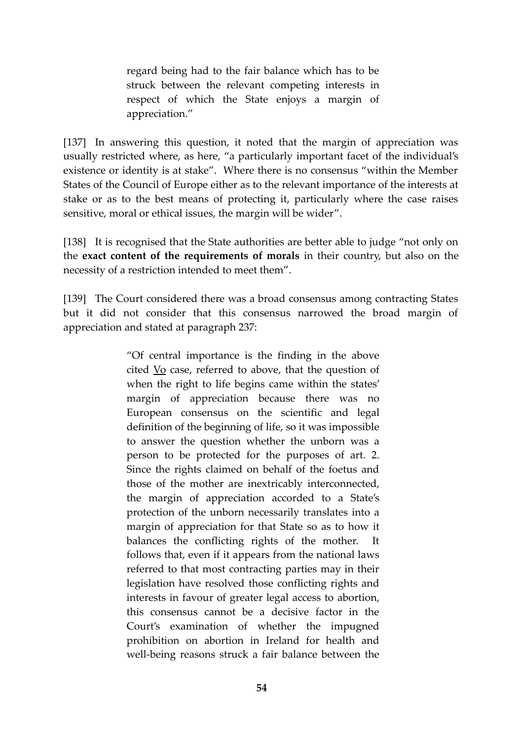regard being had to the fair balance which has to be struck between the relevant competing interests in respect of which the State enjoys a margin of appreciation."

[137] In answering this question, it noted that the margin of appreciation was usually restricted where, as here, "a particularly important facet of the individual's existence or identity is at stake". Where there is no consensus "within the Member States of the Council of Europe either as to the relevant importance of the interests at stake or as to the best means of protecting it, particularly where the case raises sensitive, moral or ethical issues, the margin will be wider".

[138] It is recognised that the State authorities are better able to judge "not only on the **exact content of the requirements of morals** in their country, but also on the necessity of a restriction intended to meet them".

[139] The Court considered there was a broad consensus among contracting States but it did not consider that this consensus narrowed the broad margin of appreciation and stated at paragraph 237:

> "Of central importance is the finding in the above cited Vo case, referred to above, that the question of when the right to life begins came within the states' margin of appreciation because there was no European consensus on the scientific and legal definition of the beginning of life, so it was impossible to answer the question whether the unborn was a person to be protected for the purposes of art. 2. Since the rights claimed on behalf of the foetus and those of the mother are inextricably interconnected, the margin of appreciation accorded to a State's protection of the unborn necessarily translates into a margin of appreciation for that State so as to how it balances the conflicting rights of the mother. It follows that, even if it appears from the national laws referred to that most contracting parties may in their legislation have resolved those conflicting rights and interests in favour of greater legal access to abortion, this consensus cannot be a decisive factor in the Court's examination of whether the impugned prohibition on abortion in Ireland for health and well-being reasons struck a fair balance between the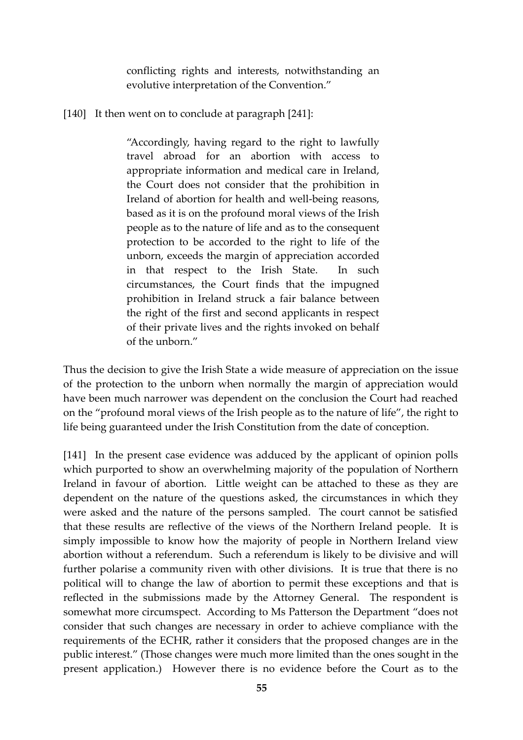conflicting rights and interests, notwithstanding an evolutive interpretation of the Convention."

[140] It then went on to conclude at paragraph [241]:

"Accordingly, having regard to the right to lawfully travel abroad for an abortion with access to appropriate information and medical care in Ireland, the Court does not consider that the prohibition in Ireland of abortion for health and well-being reasons, based as it is on the profound moral views of the Irish people as to the nature of life and as to the consequent protection to be accorded to the right to life of the unborn, exceeds the margin of appreciation accorded in that respect to the Irish State. In such circumstances, the Court finds that the impugned prohibition in Ireland struck a fair balance between the right of the first and second applicants in respect of their private lives and the rights invoked on behalf of the unborn."

Thus the decision to give the Irish State a wide measure of appreciation on the issue of the protection to the unborn when normally the margin of appreciation would have been much narrower was dependent on the conclusion the Court had reached on the "profound moral views of the Irish people as to the nature of life", the right to life being guaranteed under the Irish Constitution from the date of conception.

[141] In the present case evidence was adduced by the applicant of opinion polls which purported to show an overwhelming majority of the population of Northern Ireland in favour of abortion. Little weight can be attached to these as they are dependent on the nature of the questions asked, the circumstances in which they were asked and the nature of the persons sampled. The court cannot be satisfied that these results are reflective of the views of the Northern Ireland people. It is simply impossible to know how the majority of people in Northern Ireland view abortion without a referendum. Such a referendum is likely to be divisive and will further polarise a community riven with other divisions. It is true that there is no political will to change the law of abortion to permit these exceptions and that is reflected in the submissions made by the Attorney General. The respondent is somewhat more circumspect. According to Ms Patterson the Department "does not consider that such changes are necessary in order to achieve compliance with the requirements of the ECHR, rather it considers that the proposed changes are in the public interest." (Those changes were much more limited than the ones sought in the present application.) However there is no evidence before the Court as to the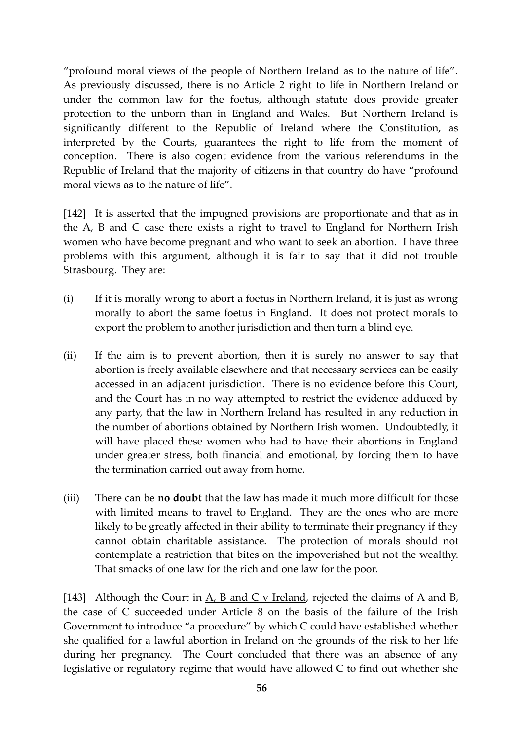"profound moral views of the people of Northern Ireland as to the nature of life". As previously discussed, there is no Article 2 right to life in Northern Ireland or under the common law for the foetus, although statute does provide greater protection to the unborn than in England and Wales. But Northern Ireland is significantly different to the Republic of Ireland where the Constitution, as interpreted by the Courts, guarantees the right to life from the moment of conception. There is also cogent evidence from the various referendums in the Republic of Ireland that the majority of citizens in that country do have "profound moral views as to the nature of life".

[142] It is asserted that the impugned provisions are proportionate and that as in the  $A$ ,  $B$  and  $C$  case there exists a right to travel to England for Northern Irish women who have become pregnant and who want to seek an abortion. I have three problems with this argument, although it is fair to say that it did not trouble Strasbourg. They are:

- (i) If it is morally wrong to abort a foetus in Northern Ireland, it is just as wrong morally to abort the same foetus in England. It does not protect morals to export the problem to another jurisdiction and then turn a blind eye.
- (ii) If the aim is to prevent abortion, then it is surely no answer to say that abortion is freely available elsewhere and that necessary services can be easily accessed in an adjacent jurisdiction. There is no evidence before this Court, and the Court has in no way attempted to restrict the evidence adduced by any party, that the law in Northern Ireland has resulted in any reduction in the number of abortions obtained by Northern Irish women. Undoubtedly, it will have placed these women who had to have their abortions in England under greater stress, both financial and emotional, by forcing them to have the termination carried out away from home.
- (iii) There can be **no doubt** that the law has made it much more difficult for those with limited means to travel to England. They are the ones who are more likely to be greatly affected in their ability to terminate their pregnancy if they cannot obtain charitable assistance. The protection of morals should not contemplate a restriction that bites on the impoverished but not the wealthy. That smacks of one law for the rich and one law for the poor.

[143] Although the Court in  $A$ ,  $B$  and  $C$  v Ireland, rejected the claims of  $A$  and  $B$ , the case of C succeeded under Article 8 on the basis of the failure of the Irish Government to introduce "a procedure" by which C could have established whether she qualified for a lawful abortion in Ireland on the grounds of the risk to her life during her pregnancy. The Court concluded that there was an absence of any legislative or regulatory regime that would have allowed C to find out whether she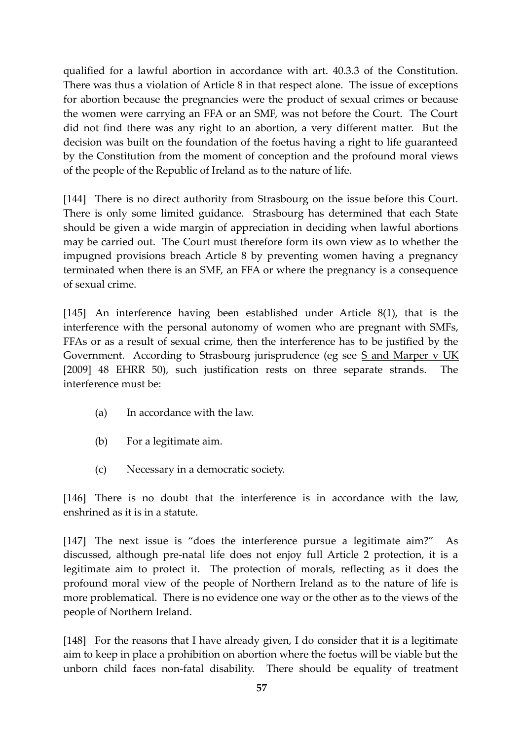qualified for a lawful abortion in accordance with art. 40.3.3 of the Constitution. There was thus a violation of Article 8 in that respect alone. The issue of exceptions for abortion because the pregnancies were the product of sexual crimes or because the women were carrying an FFA or an SMF, was not before the Court. The Court did not find there was any right to an abortion, a very different matter. But the decision was built on the foundation of the foetus having a right to life guaranteed by the Constitution from the moment of conception and the profound moral views of the people of the Republic of Ireland as to the nature of life.

[144] There is no direct authority from Strasbourg on the issue before this Court. There is only some limited guidance. Strasbourg has determined that each State should be given a wide margin of appreciation in deciding when lawful abortions may be carried out. The Court must therefore form its own view as to whether the impugned provisions breach Article 8 by preventing women having a pregnancy terminated when there is an SMF, an FFA or where the pregnancy is a consequence of sexual crime.

[145] An interference having been established under Article 8(1), that is the interference with the personal autonomy of women who are pregnant with SMFs, FFAs or as a result of sexual crime, then the interference has to be justified by the Government. According to Strasbourg jurisprudence (eg see S and Marper v UK [2009] 48 EHRR 50), such justification rests on three separate strands. The interference must be:

- (a) In accordance with the law.
- (b) For a legitimate aim.
- (c) Necessary in a democratic society.

[146] There is no doubt that the interference is in accordance with the law, enshrined as it is in a statute.

[147] The next issue is "does the interference pursue a legitimate aim?" As discussed, although pre-natal life does not enjoy full Article 2 protection, it is a legitimate aim to protect it. The protection of morals, reflecting as it does the profound moral view of the people of Northern Ireland as to the nature of life is more problematical. There is no evidence one way or the other as to the views of the people of Northern Ireland.

[148] For the reasons that I have already given, I do consider that it is a legitimate aim to keep in place a prohibition on abortion where the foetus will be viable but the unborn child faces non-fatal disability. There should be equality of treatment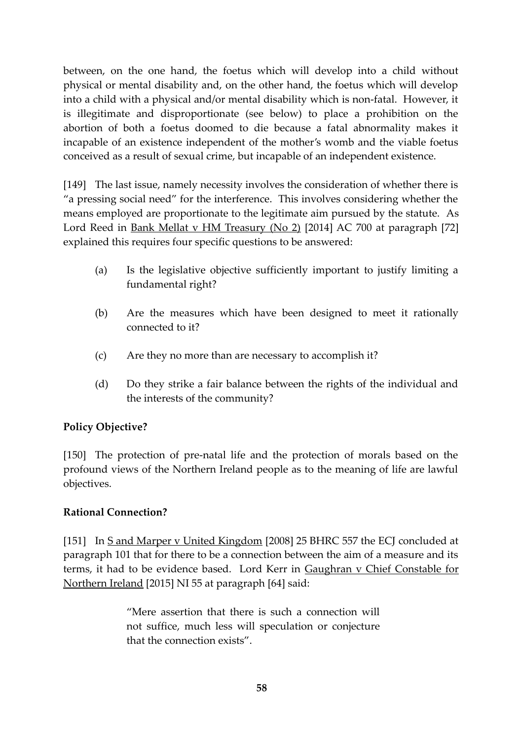between, on the one hand, the foetus which will develop into a child without physical or mental disability and, on the other hand, the foetus which will develop into a child with a physical and/or mental disability which is non-fatal. However, it is illegitimate and disproportionate (see below) to place a prohibition on the abortion of both a foetus doomed to die because a fatal abnormality makes it incapable of an existence independent of the mother's womb and the viable foetus conceived as a result of sexual crime, but incapable of an independent existence.

[149] The last issue, namely necessity involves the consideration of whether there is "a pressing social need" for the interference. This involves considering whether the means employed are proportionate to the legitimate aim pursued by the statute. As Lord Reed in Bank Mellat v HM Treasury (No 2) [2014] AC 700 at paragraph [72] explained this requires four specific questions to be answered:

- (a) Is the legislative objective sufficiently important to justify limiting a fundamental right?
- (b) Are the measures which have been designed to meet it rationally connected to it?
- (c) Are they no more than are necessary to accomplish it?
- (d) Do they strike a fair balance between the rights of the individual and the interests of the community?

# **Policy Objective?**

[150] The protection of pre-natal life and the protection of morals based on the profound views of the Northern Ireland people as to the meaning of life are lawful objectives.

## **Rational Connection?**

[151] In S and Marper v United Kingdom [2008] 25 BHRC 557 the ECJ concluded at paragraph 101 that for there to be a connection between the aim of a measure and its terms, it had to be evidence based. Lord Kerr in Gaughran v Chief Constable for Northern Ireland [2015] NI 55 at paragraph [64] said:

> "Mere assertion that there is such a connection will not suffice, much less will speculation or conjecture that the connection exists".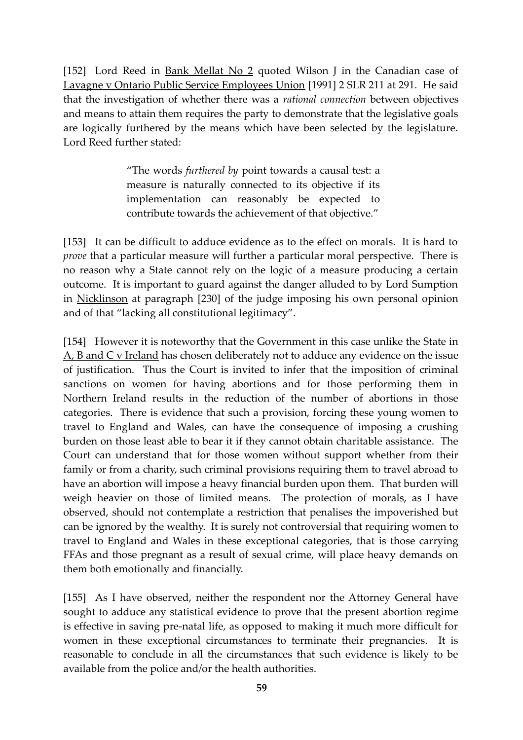[152] Lord Reed in <u>Bank Mellat No 2</u> quoted Wilson J in the Canadian case of Lavagne v Ontario Public Service Employees Union [1991] 2 SLR 211 at 291. He said that the investigation of whether there was a *rational connection* between objectives and means to attain them requires the party to demonstrate that the legislative goals are logically furthered by the means which have been selected by the legislature. Lord Reed further stated:

> "The words *furthered by* point towards a causal test: a measure is naturally connected to its objective if its implementation can reasonably be expected to contribute towards the achievement of that objective."

[153] It can be difficult to adduce evidence as to the effect on morals. It is hard to *prove* that a particular measure will further a particular moral perspective. There is no reason why a State cannot rely on the logic of a measure producing a certain outcome. It is important to guard against the danger alluded to by Lord Sumption in Nicklinson at paragraph [230] of the judge imposing his own personal opinion and of that "lacking all constitutional legitimacy".

[154] However it is noteworthy that the Government in this case unlike the State in A, B and C v Ireland has chosen deliberately not to adduce any evidence on the issue of justification. Thus the Court is invited to infer that the imposition of criminal sanctions on women for having abortions and for those performing them in Northern Ireland results in the reduction of the number of abortions in those categories. There is evidence that such a provision, forcing these young women to travel to England and Wales, can have the consequence of imposing a crushing burden on those least able to bear it if they cannot obtain charitable assistance. The Court can understand that for those women without support whether from their family or from a charity, such criminal provisions requiring them to travel abroad to have an abortion will impose a heavy financial burden upon them. That burden will weigh heavier on those of limited means. The protection of morals, as I have observed, should not contemplate a restriction that penalises the impoverished but can be ignored by the wealthy. It is surely not controversial that requiring women to travel to England and Wales in these exceptional categories, that is those carrying FFAs and those pregnant as a result of sexual crime, will place heavy demands on them both emotionally and financially.

[155] As I have observed, neither the respondent nor the Attorney General have sought to adduce any statistical evidence to prove that the present abortion regime is effective in saving pre-natal life, as opposed to making it much more difficult for women in these exceptional circumstances to terminate their pregnancies. It is reasonable to conclude in all the circumstances that such evidence is likely to be available from the police and/or the health authorities.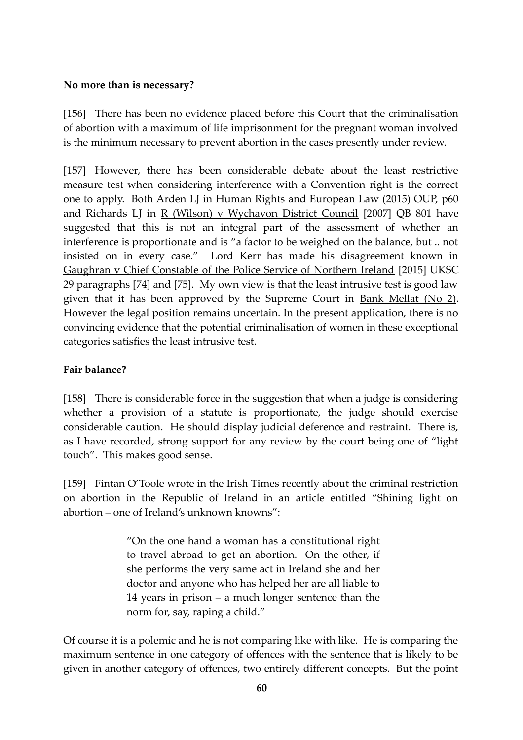## **No more than is necessary?**

[156] There has been no evidence placed before this Court that the criminalisation of abortion with a maximum of life imprisonment for the pregnant woman involved is the minimum necessary to prevent abortion in the cases presently under review.

[157] However, there has been considerable debate about the least restrictive measure test when considering interference with a Convention right is the correct one to apply. Both Arden LJ in Human Rights and European Law (2015) OUP, p60 and Richards LJ in R (Wilson) v Wychavon District Council [2007] QB 801 have suggested that this is not an integral part of the assessment of whether an interference is proportionate and is "a factor to be weighed on the balance, but .. not insisted on in every case." Lord Kerr has made his disagreement known in Gaughran v Chief Constable of the Police Service of Northern Ireland [2015] UKSC 29 paragraphs [74] and [75]. My own view is that the least intrusive test is good law given that it has been approved by the Supreme Court in Bank Mellat (No 2). However the legal position remains uncertain. In the present application, there is no convincing evidence that the potential criminalisation of women in these exceptional categories satisfies the least intrusive test.

# **Fair balance?**

[158] There is considerable force in the suggestion that when a judge is considering whether a provision of a statute is proportionate, the judge should exercise considerable caution. He should display judicial deference and restraint. There is, as I have recorded, strong support for any review by the court being one of "light touch". This makes good sense.

[159] Fintan O'Toole wrote in the Irish Times recently about the criminal restriction on abortion in the Republic of Ireland in an article entitled "Shining light on abortion – one of Ireland's unknown knowns":

> "On the one hand a woman has a constitutional right to travel abroad to get an abortion. On the other, if she performs the very same act in Ireland she and her doctor and anyone who has helped her are all liable to 14 years in prison – a much longer sentence than the norm for, say, raping a child."

Of course it is a polemic and he is not comparing like with like. He is comparing the maximum sentence in one category of offences with the sentence that is likely to be given in another category of offences, two entirely different concepts. But the point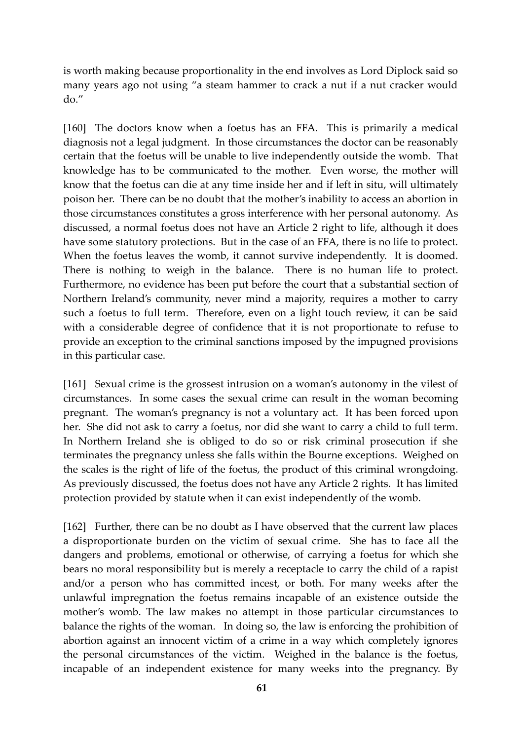is worth making because proportionality in the end involves as Lord Diplock said so many years ago not using "a steam hammer to crack a nut if a nut cracker would do."

[160] The doctors know when a foetus has an FFA. This is primarily a medical diagnosis not a legal judgment. In those circumstances the doctor can be reasonably certain that the foetus will be unable to live independently outside the womb. That knowledge has to be communicated to the mother. Even worse, the mother will know that the foetus can die at any time inside her and if left in situ, will ultimately poison her. There can be no doubt that the mother's inability to access an abortion in those circumstances constitutes a gross interference with her personal autonomy. As discussed, a normal foetus does not have an Article 2 right to life, although it does have some statutory protections. But in the case of an FFA, there is no life to protect. When the foetus leaves the womb, it cannot survive independently. It is doomed. There is nothing to weigh in the balance. There is no human life to protect. Furthermore, no evidence has been put before the court that a substantial section of Northern Ireland's community, never mind a majority, requires a mother to carry such a foetus to full term. Therefore, even on a light touch review, it can be said with a considerable degree of confidence that it is not proportionate to refuse to provide an exception to the criminal sanctions imposed by the impugned provisions in this particular case.

[161] Sexual crime is the grossest intrusion on a woman's autonomy in the vilest of circumstances. In some cases the sexual crime can result in the woman becoming pregnant. The woman's pregnancy is not a voluntary act. It has been forced upon her. She did not ask to carry a foetus, nor did she want to carry a child to full term. In Northern Ireland she is obliged to do so or risk criminal prosecution if she terminates the pregnancy unless she falls within the Bourne exceptions. Weighed on the scales is the right of life of the foetus, the product of this criminal wrongdoing. As previously discussed, the foetus does not have any Article 2 rights. It has limited protection provided by statute when it can exist independently of the womb.

[162] Further, there can be no doubt as I have observed that the current law places a disproportionate burden on the victim of sexual crime. She has to face all the dangers and problems, emotional or otherwise, of carrying a foetus for which she bears no moral responsibility but is merely a receptacle to carry the child of a rapist and/or a person who has committed incest, or both. For many weeks after the unlawful impregnation the foetus remains incapable of an existence outside the mother's womb. The law makes no attempt in those particular circumstances to balance the rights of the woman. In doing so, the law is enforcing the prohibition of abortion against an innocent victim of a crime in a way which completely ignores the personal circumstances of the victim. Weighed in the balance is the foetus, incapable of an independent existence for many weeks into the pregnancy. By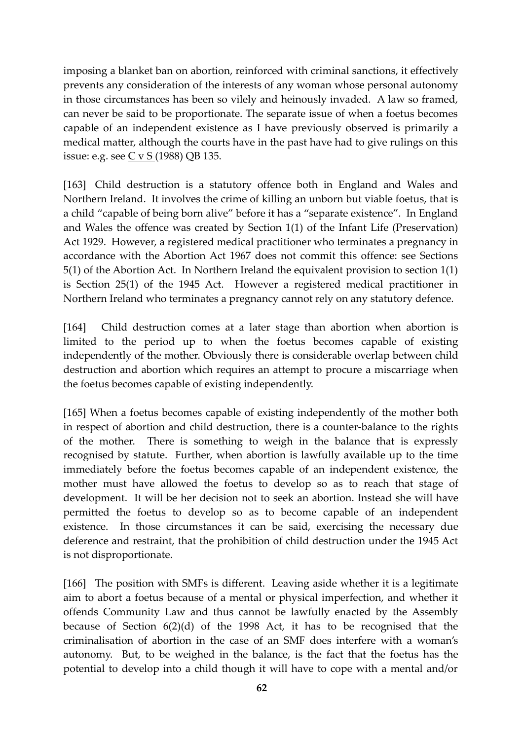imposing a blanket ban on abortion, reinforced with criminal sanctions, it effectively prevents any consideration of the interests of any woman whose personal autonomy in those circumstances has been so vilely and heinously invaded. A law so framed, can never be said to be proportionate. The separate issue of when a foetus becomes capable of an independent existence as I have previously observed is primarily a medical matter, although the courts have in the past have had to give rulings on this issue: e.g. see  $C$  v  $S$  (1988) QB 135.

[163] Child destruction is a statutory offence both in England and Wales and Northern Ireland. It involves the crime of killing an unborn but viable foetus, that is a child "capable of being born alive" before it has a "separate existence". In England and Wales the offence was created by Section 1(1) of the Infant Life (Preservation) Act 1929. However, a registered medical practitioner who terminates a pregnancy in accordance with the Abortion Act 1967 does not commit this offence: see Sections 5(1) of the Abortion Act. In Northern Ireland the equivalent provision to section 1(1) is Section 25(1) of the 1945 Act. However a registered medical practitioner in Northern Ireland who terminates a pregnancy cannot rely on any statutory defence.

[164] Child destruction comes at a later stage than abortion when abortion is limited to the period up to when the foetus becomes capable of existing independently of the mother. Obviously there is considerable overlap between child destruction and abortion which requires an attempt to procure a miscarriage when the foetus becomes capable of existing independently.

[165] When a foetus becomes capable of existing independently of the mother both in respect of abortion and child destruction, there is a counter-balance to the rights of the mother. There is something to weigh in the balance that is expressly recognised by statute. Further, when abortion is lawfully available up to the time immediately before the foetus becomes capable of an independent existence, the mother must have allowed the foetus to develop so as to reach that stage of development. It will be her decision not to seek an abortion. Instead she will have permitted the foetus to develop so as to become capable of an independent existence. In those circumstances it can be said, exercising the necessary due deference and restraint, that the prohibition of child destruction under the 1945 Act is not disproportionate.

[166] The position with SMFs is different. Leaving aside whether it is a legitimate aim to abort a foetus because of a mental or physical imperfection, and whether it offends Community Law and thus cannot be lawfully enacted by the Assembly because of Section 6(2)(d) of the 1998 Act, it has to be recognised that the criminalisation of abortion in the case of an SMF does interfere with a woman's autonomy. But, to be weighed in the balance, is the fact that the foetus has the potential to develop into a child though it will have to cope with a mental and/or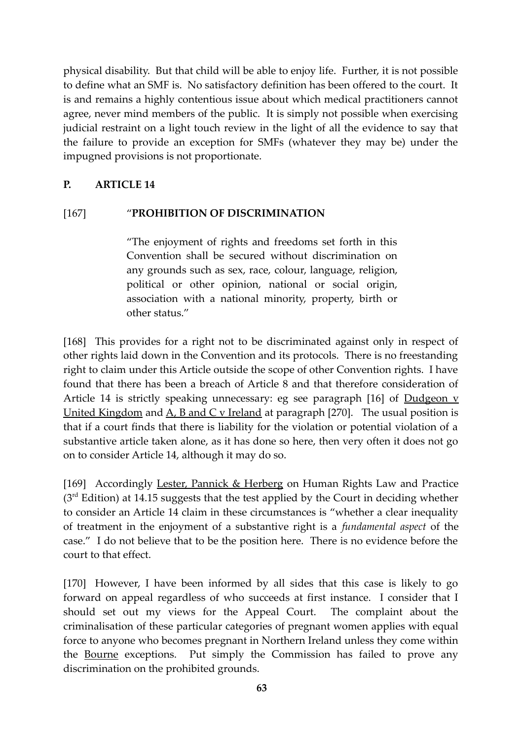physical disability. But that child will be able to enjoy life. Further, it is not possible to define what an SMF is. No satisfactory definition has been offered to the court. It is and remains a highly contentious issue about which medical practitioners cannot agree, never mind members of the public. It is simply not possible when exercising judicial restraint on a light touch review in the light of all the evidence to say that the failure to provide an exception for SMFs (whatever they may be) under the impugned provisions is not proportionate.

#### **P. ARTICLE 14**

#### [167] "**PROHIBITION OF DISCRIMINATION**

"The enjoyment of rights and freedoms set forth in this Convention shall be secured without discrimination on any grounds such as sex, race, colour, language, religion, political or other opinion, national or social origin, association with a national minority, property, birth or other status."

[168] This provides for a right not to be discriminated against only in respect of other rights laid down in the Convention and its protocols. There is no freestanding right to claim under this Article outside the scope of other Convention rights. I have found that there has been a breach of Article 8 and that therefore consideration of Article 14 is strictly speaking unnecessary: eg see paragraph [16] of Dudgeon v United Kingdom and  $A$ ,  $B$  and  $C$  v Ireland at paragraph [270]. The usual position is that if a court finds that there is liability for the violation or potential violation of a substantive article taken alone, as it has done so here, then very often it does not go on to consider Article 14, although it may do so.

[169] Accordingly Lester, Pannick & Herberg on Human Rights Law and Practice  $(3<sup>rd</sup> Edition)$  at 14.15 suggests that the test applied by the Court in deciding whether to consider an Article 14 claim in these circumstances is "whether a clear inequality of treatment in the enjoyment of a substantive right is a *fundamental aspect* of the case." I do not believe that to be the position here. There is no evidence before the court to that effect.

[170] However, I have been informed by all sides that this case is likely to go forward on appeal regardless of who succeeds at first instance. I consider that I should set out my views for the Appeal Court. The complaint about the criminalisation of these particular categories of pregnant women applies with equal force to anyone who becomes pregnant in Northern Ireland unless they come within the Bourne exceptions. Put simply the Commission has failed to prove any discrimination on the prohibited grounds.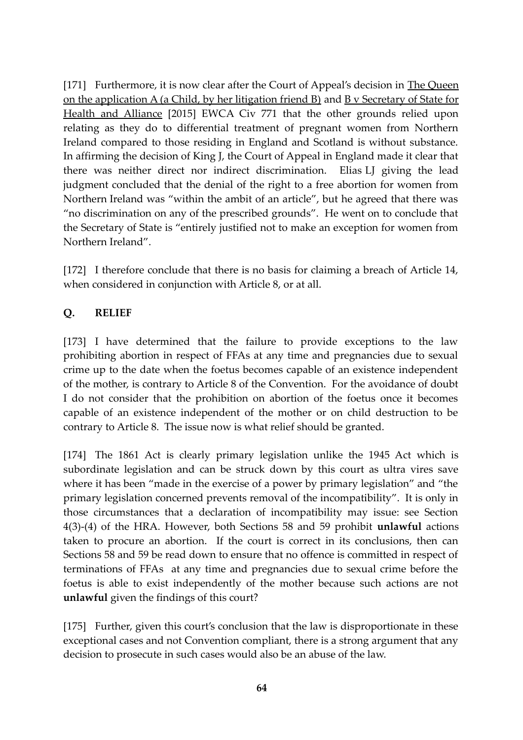[171] Furthermore, it is now clear after the Court of Appeal's decision in The Queen on the application A (a Child, by her litigation friend B) and  $\overline{B}$  v Secretary of State for Health and Alliance [2015] EWCA Civ 771 that the other grounds relied upon relating as they do to differential treatment of pregnant women from Northern Ireland compared to those residing in England and Scotland is without substance. In affirming the decision of King J, the Court of Appeal in England made it clear that there was neither direct nor indirect discrimination. Elias LJ giving the lead judgment concluded that the denial of the right to a free abortion for women from Northern Ireland was "within the ambit of an article", but he agreed that there was "no discrimination on any of the prescribed grounds". He went on to conclude that the Secretary of State is "entirely justified not to make an exception for women from Northern Ireland".

[172] I therefore conclude that there is no basis for claiming a breach of Article 14, when considered in conjunction with Article 8, or at all.

## **Q. RELIEF**

[173] I have determined that the failure to provide exceptions to the law prohibiting abortion in respect of FFAs at any time and pregnancies due to sexual crime up to the date when the foetus becomes capable of an existence independent of the mother, is contrary to Article 8 of the Convention. For the avoidance of doubt I do not consider that the prohibition on abortion of the foetus once it becomes capable of an existence independent of the mother or on child destruction to be contrary to Article 8. The issue now is what relief should be granted.

[174] The 1861 Act is clearly primary legislation unlike the 1945 Act which is subordinate legislation and can be struck down by this court as ultra vires save where it has been "made in the exercise of a power by primary legislation" and "the primary legislation concerned prevents removal of the incompatibility". It is only in those circumstances that a declaration of incompatibility may issue: see Section 4(3)-(4) of the HRA. However, both Sections 58 and 59 prohibit **unlawful** actions taken to procure an abortion. If the court is correct in its conclusions, then can Sections 58 and 59 be read down to ensure that no offence is committed in respect of terminations of FFAs at any time and pregnancies due to sexual crime before the foetus is able to exist independently of the mother because such actions are not **unlawful** given the findings of this court?

[175] Further, given this court's conclusion that the law is disproportionate in these exceptional cases and not Convention compliant, there is a strong argument that any decision to prosecute in such cases would also be an abuse of the law.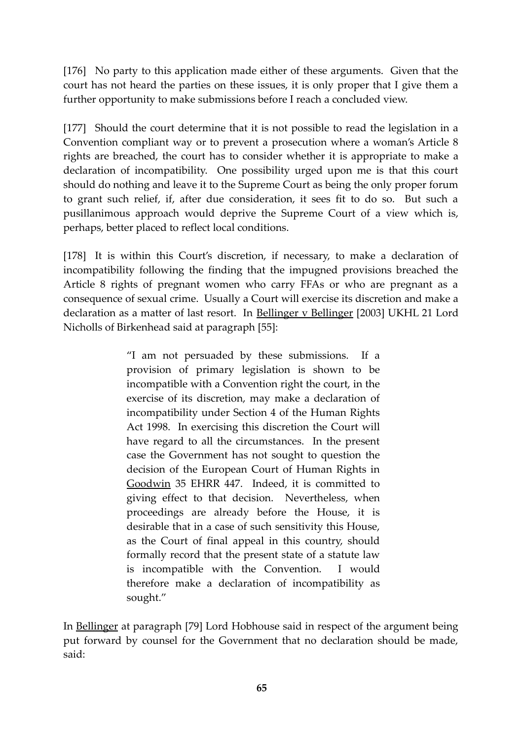[176] No party to this application made either of these arguments. Given that the court has not heard the parties on these issues, it is only proper that I give them a further opportunity to make submissions before I reach a concluded view.

[177] Should the court determine that it is not possible to read the legislation in a Convention compliant way or to prevent a prosecution where a woman's Article 8 rights are breached, the court has to consider whether it is appropriate to make a declaration of incompatibility. One possibility urged upon me is that this court should do nothing and leave it to the Supreme Court as being the only proper forum to grant such relief, if, after due consideration, it sees fit to do so. But such a pusillanimous approach would deprive the Supreme Court of a view which is, perhaps, better placed to reflect local conditions.

[178] It is within this Court's discretion, if necessary, to make a declaration of incompatibility following the finding that the impugned provisions breached the Article 8 rights of pregnant women who carry FFAs or who are pregnant as a consequence of sexual crime. Usually a Court will exercise its discretion and make a declaration as a matter of last resort. In Bellinger v Bellinger [2003] UKHL 21 Lord Nicholls of Birkenhead said at paragraph [55]:

> "I am not persuaded by these submissions. If a provision of primary legislation is shown to be incompatible with a Convention right the court, in the exercise of its discretion, may make a declaration of incompatibility under Section 4 of the Human Rights Act 1998. In exercising this discretion the Court will have regard to all the circumstances. In the present case the Government has not sought to question the decision of the European Court of Human Rights in Goodwin 35 EHRR 447. Indeed, it is committed to giving effect to that decision. Nevertheless, when proceedings are already before the House, it is desirable that in a case of such sensitivity this House, as the Court of final appeal in this country, should formally record that the present state of a statute law is incompatible with the Convention. I would therefore make a declaration of incompatibility as sought."

In Bellinger at paragraph [79] Lord Hobhouse said in respect of the argument being put forward by counsel for the Government that no declaration should be made, said: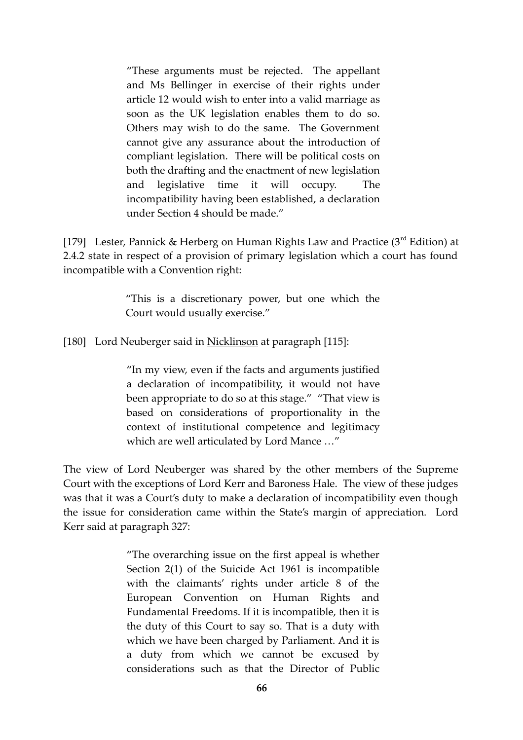"These arguments must be rejected. The appellant and Ms Bellinger in exercise of their rights under article 12 would wish to enter into a valid marriage as soon as the UK legislation enables them to do so. Others may wish to do the same. The Government cannot give any assurance about the introduction of compliant legislation. There will be political costs on both the drafting and the enactment of new legislation and legislative time it will occupy. The incompatibility having been established, a declaration under Section 4 should be made."

[179] Lester, Pannick & Herberg on Human Rights Law and Practice (3<sup>rd</sup> Edition) at 2.4.2 state in respect of a provision of primary legislation which a court has found incompatible with a Convention right:

> "This is a discretionary power, but one which the Court would usually exercise."

[180] Lord Neuberger said in Nicklinson at paragraph [115]:

"In my view, even if the facts and arguments justified a declaration of incompatibility, it would not have been appropriate to do so at this stage." "That view is based on considerations of proportionality in the context of institutional competence and legitimacy which are well articulated by Lord Mance …"

The view of Lord Neuberger was shared by the other members of the Supreme Court with the exceptions of Lord Kerr and Baroness Hale. The view of these judges was that it was a Court's duty to make a declaration of incompatibility even though the issue for consideration came within the State's margin of appreciation. Lord Kerr said at paragraph 327:

> "The overarching issue on the first appeal is whether Section 2(1) of the Suicide Act 1961 is incompatible with the claimants' rights under article 8 of the European Convention on Human Rights and Fundamental Freedoms. If it is incompatible, then it is the duty of this Court to say so. That is a duty with which we have been charged by Parliament. And it is a duty from which we cannot be excused by considerations such as that the Director of Public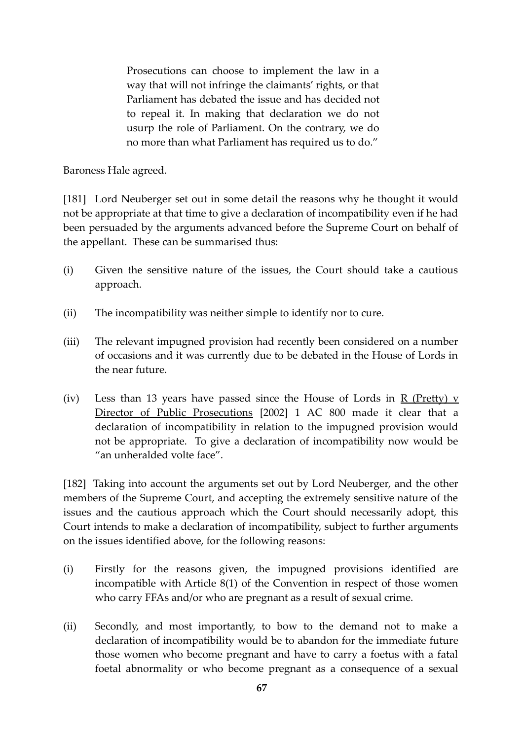Prosecutions can choose to implement the law in a way that will not infringe the claimants' rights, or that Parliament has debated the issue and has decided not to repeal it. In making that declaration we do not usurp the role of Parliament. On the contrary, we do no more than what Parliament has required us to do."

Baroness Hale agreed.

[181] Lord Neuberger set out in some detail the reasons why he thought it would not be appropriate at that time to give a declaration of incompatibility even if he had been persuaded by the arguments advanced before the Supreme Court on behalf of the appellant. These can be summarised thus:

- (i) Given the sensitive nature of the issues, the Court should take a cautious approach.
- (ii) The incompatibility was neither simple to identify nor to cure.
- (iii) The relevant impugned provision had recently been considered on a number of occasions and it was currently due to be debated in the House of Lords in the near future.
- (iv) Less than 13 years have passed since the House of Lords in  $R$  (Pretty) v Director of Public Prosecutions [2002] 1 AC 800 made it clear that a declaration of incompatibility in relation to the impugned provision would not be appropriate. To give a declaration of incompatibility now would be "an unheralded volte face".

[182] Taking into account the arguments set out by Lord Neuberger, and the other members of the Supreme Court, and accepting the extremely sensitive nature of the issues and the cautious approach which the Court should necessarily adopt, this Court intends to make a declaration of incompatibility, subject to further arguments on the issues identified above, for the following reasons:

- (i) Firstly for the reasons given, the impugned provisions identified are incompatible with Article 8(1) of the Convention in respect of those women who carry FFAs and/or who are pregnant as a result of sexual crime.
- (ii) Secondly, and most importantly, to bow to the demand not to make a declaration of incompatibility would be to abandon for the immediate future those women who become pregnant and have to carry a foetus with a fatal foetal abnormality or who become pregnant as a consequence of a sexual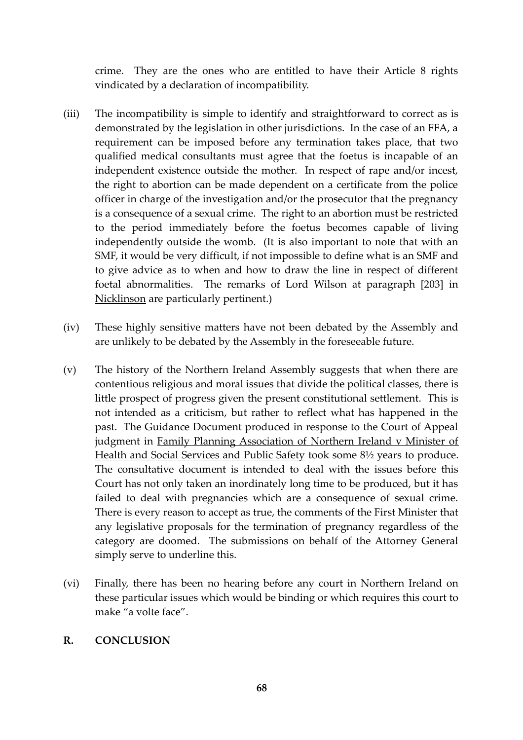crime. They are the ones who are entitled to have their Article 8 rights vindicated by a declaration of incompatibility.

- (iii) The incompatibility is simple to identify and straightforward to correct as is demonstrated by the legislation in other jurisdictions. In the case of an FFA, a requirement can be imposed before any termination takes place, that two qualified medical consultants must agree that the foetus is incapable of an independent existence outside the mother. In respect of rape and/or incest, the right to abortion can be made dependent on a certificate from the police officer in charge of the investigation and/or the prosecutor that the pregnancy is a consequence of a sexual crime. The right to an abortion must be restricted to the period immediately before the foetus becomes capable of living independently outside the womb. (It is also important to note that with an SMF, it would be very difficult, if not impossible to define what is an SMF and to give advice as to when and how to draw the line in respect of different foetal abnormalities. The remarks of Lord Wilson at paragraph [203] in Nicklinson are particularly pertinent.)
- (iv) These highly sensitive matters have not been debated by the Assembly and are unlikely to be debated by the Assembly in the foreseeable future.
- (v) The history of the Northern Ireland Assembly suggests that when there are contentious religious and moral issues that divide the political classes, there is little prospect of progress given the present constitutional settlement. This is not intended as a criticism, but rather to reflect what has happened in the past. The Guidance Document produced in response to the Court of Appeal judgment in Family Planning Association of Northern Ireland v Minister of Health and Social Services and Public Safety took some 8½ years to produce. The consultative document is intended to deal with the issues before this Court has not only taken an inordinately long time to be produced, but it has failed to deal with pregnancies which are a consequence of sexual crime. There is every reason to accept as true, the comments of the First Minister that any legislative proposals for the termination of pregnancy regardless of the category are doomed. The submissions on behalf of the Attorney General simply serve to underline this.
- (vi) Finally, there has been no hearing before any court in Northern Ireland on these particular issues which would be binding or which requires this court to make "a volte face".

#### **R. CONCLUSION**